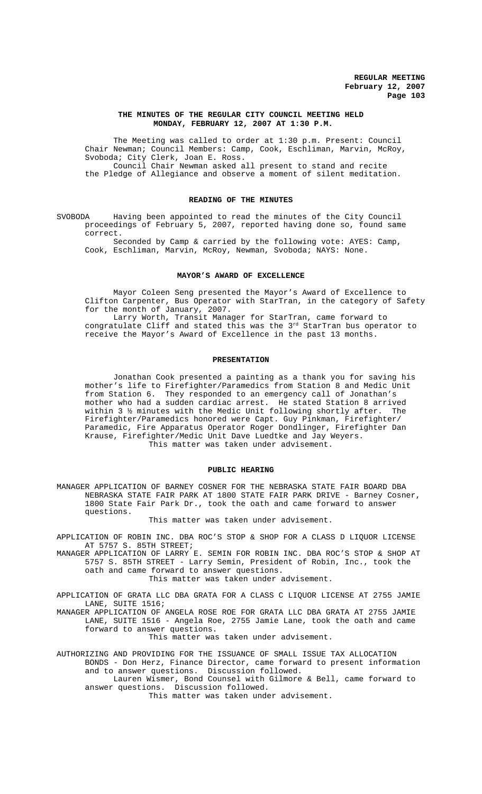#### **THE MINUTES OF THE REGULAR CITY COUNCIL MEETING HELD MONDAY, FEBRUARY 12, 2007 AT 1:30 P.M.**

The Meeting was called to order at 1:30 p.m. Present: Council Chair Newman; Council Members: Camp, Cook, Eschliman, Marvin, McRoy, Svoboda; City Clerk, Joan E. Ross. Council Chair Newman asked all present to stand and recite the Pledge of Allegiance and observe a moment of silent meditation.

### **READING OF THE MINUTES**

SVOBODA Having been appointed to read the minutes of the City Council proceedings of February 5, 2007, reported having done so, found same correct.

Seconded by Camp & carried by the following vote: AYES: Camp, Cook, Eschliman, Marvin, McRoy, Newman, Svoboda; NAYS: None.

#### **MAYOR'S AWARD OF EXCELLENCE**

Mayor Coleen Seng presented the Mayor's Award of Excellence to Clifton Carpenter, Bus Operator with StarTran, in the category of Safety for the month of January, 2007.

Larry Worth, Transit Manager for StarTran, came forward to congratulate Cliff and stated this was the  $3^{rd}$  StarTran bus operator to receive the Mayor's Award of Excellence in the past 13 months.

#### **PRESENTATION**

Jonathan Cook presented a painting as a thank you for saving his mother's life to Firefighter/Paramedics from Station 8 and Medic Unit from Station 6. They responded to an emergency call of Jonathan's mother who had a sudden cardiac arrest. He stated Station 8 arrived within 3 ½ minutes with the Medic Unit following shortly after. The Firefighter/Paramedics honored were Capt. Guy Pinkman, Firefighter/ Paramedic, Fire Apparatus Operator Roger Dondlinger, Firefighter Dan Krause, Firefighter/Medic Unit Dave Luedtke and Jay Weyers. This matter was taken under advisement.

#### **PUBLIC HEARING**

MANAGER APPLICATION OF BARNEY COSNER FOR THE NEBRASKA STATE FAIR BOARD DBA NEBRASKA STATE FAIR PARK AT 1800 STATE FAIR PARK DRIVE - Barney Cosner, 1800 State Fair Park Dr., took the oath and came forward to answer questions.

This matter was taken under advisement.

- APPLICATION OF ROBIN INC. DBA ROC'S STOP & SHOP FOR A CLASS D LIQUOR LICENSE AT 5757 S. 85TH STREET;
- MANAGER APPLICATION OF LARRY E. SEMIN FOR ROBIN INC. DBA ROC'S STOP & SHOP AT 5757 S. 85TH STREET - Larry Semin, President of Robin, Inc., took the oath and came forward to answer questions.

This matter was taken under advisement.

APPLICATION OF GRATA LLC DBA GRATA FOR A CLASS C LIQUOR LICENSE AT 2755 JAMIE LANE, SUITE 1516;

MANAGER APPLICATION OF ANGELA ROSE ROE FOR GRATA LLC DBA GRATA AT 2755 JAMIE LANE, SUITE 1516 - Angela Roe, 2755 Jamie Lane, took the oath and came forward to answer questions.

This matter was taken under advisement.

AUTHORIZING AND PROVIDING FOR THE ISSUANCE OF SMALL ISSUE TAX ALLOCATION BONDS - Don Herz, Finance Director, came forward to present information and to answer questions. Discussion followed.

Lauren Wismer, Bond Counsel with Gilmore & Bell, came forward to answer questions. Discussion followed.

This matter was taken under advisement.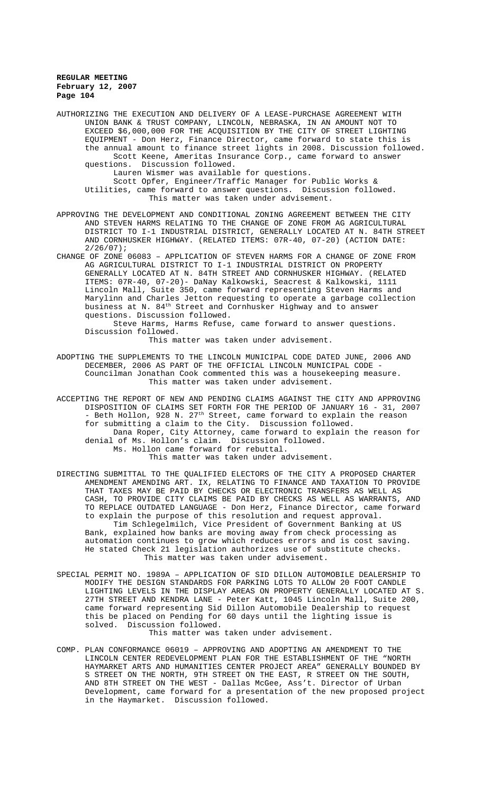AUTHORIZING THE EXECUTION AND DELIVERY OF A LEASE-PURCHASE AGREEMENT WITH UNION BANK & TRUST COMPANY, LINCOLN, NEBRASKA, IN AN AMOUNT NOT TO EXCEED \$6,000,000 FOR THE ACQUISITION BY THE CITY OF STREET LIGHTING EQUIPMENT - Don Herz, Finance Director, came forward to state this is the annual amount to finance street lights in 2008. Discussion followed. Scott Keene, Ameritas Insurance Corp., came forward to answer questions. Discussion followed. Lauren Wismer was available for questions. Scott Opfer, Engineer/Traffic Manager for Public Works & Utilities, came forward to answer questions. Discussion followed. This matter was taken under advisement. APPROVING THE DEVELOPMENT AND CONDITIONAL ZONING AGREEMENT BETWEEN THE CITY AND STEVEN HARMS RELATING TO THE CHANGE OF ZONE FROM AG AGRICULTURAL DISTRICT TO I-1 INDUSTRIAL DISTRICT, GENERALLY LOCATED AT N. 84TH STREET AND CORNHUSKER HIGHWAY. (RELATED ITEMS: 07R-40, 07-20) (ACTION DATE: 2/26/07); CHANGE OF ZONE 06083 – APPLICATION OF STEVEN HARMS FOR A CHANGE OF ZONE FROM AG AGRICULTURAL DISTRICT TO I-1 INDUSTRIAL DISTRICT ON PROPERTY GENERALLY LOCATED AT N. 84TH STREET AND CORNHUSKER HIGHWAY. (RELATED ITEMS: 07R-40, 07-20)- DaNay Kalkowski, Seacrest & Kalkowski, 1111 Lincoln Mall, Suite 350, came forward representing Steven Harms and Marylinn and Charles Jetton requesting to operate a garbage collection business at N. 84th Street and Cornhusker Highway and to answer questions. Discussion followed.

Steve Harms, Harms Refuse, came forward to answer questions. Discussion followed.

This matter was taken under advisement.

- ADOPTING THE SUPPLEMENTS TO THE LINCOLN MUNICIPAL CODE DATED JUNE, 2006 AND DECEMBER, 2006 AS PART OF THE OFFICIAL LINCOLN MUNICIPAL CODE - Councilman Jonathan Cook commented this was a housekeeping measure. This matter was taken under advisement.
- ACCEPTING THE REPORT OF NEW AND PENDING CLAIMS AGAINST THE CITY AND APPROVING DISPOSITION OF CLAIMS SET FORTH FOR THE PERIOD OF JANUARY 16 - 31, 2007 - Beth Hollon, 928 N. 27<sup>th</sup> Street, came forward to explain the reason for submitting a claim to the City. Discussion followed. Dana Roper, City Attorney, came forward to explain the reason for denial of Ms. Hollon's claim. Discussion followed. Ms. Hollon came forward for rebuttal.

This matter was taken under advisement.

- DIRECTING SUBMITTAL TO THE QUALIFIED ELECTORS OF THE CITY A PROPOSED CHARTER AMENDMENT AMENDING ART. IX, RELATING TO FINANCE AND TAXATION TO PROVIDE THAT TAXES MAY BE PAID BY CHECKS OR ELECTRONIC TRANSFERS AS WELL AS CASH, TO PROVIDE CITY CLAIMS BE PAID BY CHECKS AS WELL AS WARRANTS, AND TO REPLACE OUTDATED LANGUAGE - Don Herz, Finance Director, came forward to explain the purpose of this resolution and request approval. Tim Schlegelmilch, Vice President of Government Banking at US Bank, explained how banks are moving away from check processing as automation continues to grow which reduces errors and is cost saving. He stated Check 21 legislation authorizes use of substitute checks. This matter was taken under advisement.
- SPECIAL PERMIT NO. 1989A APPLICATION OF SID DILLON AUTOMOBILE DEALERSHIP TO MODIFY THE DESIGN STANDARDS FOR PARKING LOTS TO ALLOW 20 FOOT CANDLE LIGHTING LEVELS IN THE DISPLAY AREAS ON PROPERTY GENERALLY LOCATED AT S. 27TH STREET AND KENDRA LANE - Peter Katt, 1045 Lincoln Mall, Suite 200, came forward representing Sid Dillon Automobile Dealership to request this be placed on Pending for 60 days until the lighting issue is solved. Discussion followed.

This matter was taken under advisement.

COMP. PLAN CONFORMANCE 06019 – APPROVING AND ADOPTING AN AMENDMENT TO THE LINCOLN CENTER REDEVELOPMENT PLAN FOR THE ESTABLISHMENT OF THE "NORTH HAYMARKET ARTS AND HUMANITIES CENTER PROJECT AREA" GENERALLY BOUNDED BY S STREET ON THE NORTH, 9TH STREET ON THE EAST, R STREET ON THE SOUTH, AND 8TH STREET ON THE WEST - Dallas McGee, Ass't. Director of Urban Development, came forward for a presentation of the new proposed project in the Haymarket. Discussion followed.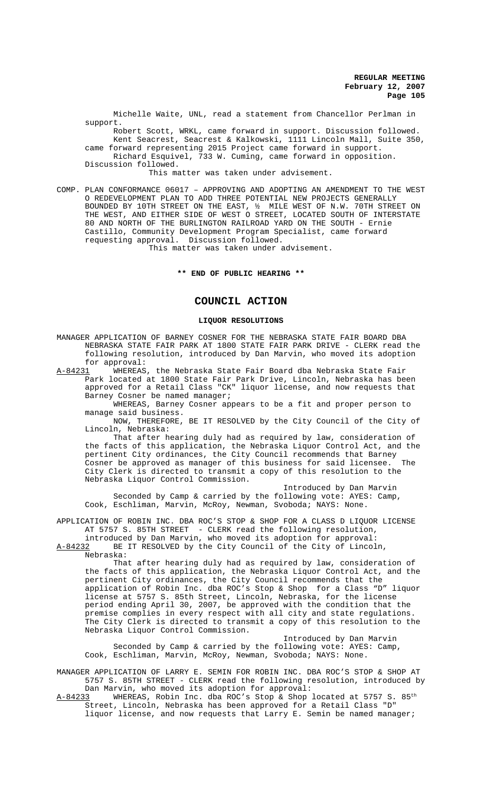Michelle Waite, UNL, read a statement from Chancellor Perlman in support.

 Robert Scott, WRKL, came forward in support. Discussion followed. Kent Seacrest, Seacrest & Kalkowski, 1111 Lincoln Mall, Suite 350, came forward representing 2015 Project came forward in support. Richard Esquivel, 733 W. Cuming, came forward in opposition.

Discussion followed. This matter was taken under advisement.

COMP. PLAN CONFORMANCE 06017 – APPROVING AND ADOPTING AN AMENDMENT TO THE WEST O REDEVELOPMENT PLAN TO ADD THREE POTENTIAL NEW PROJECTS GENERALLY BOUNDED BY 10TH STREET ON THE EAST, ½ MILE WEST OF N.W. 70TH STREET ON THE WEST, AND EITHER SIDE OF WEST O STREET, LOCATED SOUTH OF INTERSTATE 80 AND NORTH OF THE BURLINGTON RAILROAD YARD ON THE SOUTH - Ernie Castillo, Community Development Program Specialist, came forward requesting approval. Discussion followed.

This matter was taken under advisement.

## **\*\* END OF PUBLIC HEARING \*\***

## **COUNCIL ACTION**

#### **LIQUOR RESOLUTIONS**

MANAGER APPLICATION OF BARNEY COSNER FOR THE NEBRASKA STATE FAIR BOARD DBA NEBRASKA STATE FAIR PARK AT 1800 STATE FAIR PARK DRIVE - CLERK read the following resolution, introduced by Dan Marvin, who moved its adoption for approval:<br>A-84231 WHEREAS

WHEREAS, the Nebraska State Fair Board dba Nebraska State Fair Park located at 1800 State Fair Park Drive, Lincoln, Nebraska has been approved for a Retail Class "CK" liquor license, and now requests that Barney Cosner be named manager;

WHEREAS, Barney Cosner appears to be a fit and proper person to manage said business.

NOW, THEREFORE, BE IT RESOLVED by the City Council of the City of Lincoln, Nebraska:

That after hearing duly had as required by law, consideration of the facts of this application, the Nebraska Liquor Control Act, and the pertinent City ordinances, the City Council recommends that Barney Cosner be approved as manager of this business for said licensee. The City Clerk is directed to transmit a copy of this resolution to the Nebraska Liquor Control Commission.

Introduced by Dan Marvin Seconded by Camp & carried by the following vote: AYES: Camp, Cook, Eschliman, Marvin, McRoy, Newman, Svoboda; NAYS: None.

APPLICATION OF ROBIN INC. DBA ROC'S STOP & SHOP FOR A CLASS D LIQUOR LICENSE AT 5757 S. 85TH STREET - CLERK read the following resolution, introduced by Dan Marvin, who moved its adoption for approval:

A-84232 BE IT RESOLVED by the City Council of the City of Lincoln, Nebraska:

That after hearing duly had as required by law, consideration of the facts of this application, the Nebraska Liquor Control Act, and the pertinent City ordinances, the City Council recommends that the application of Robin Inc. dba ROC's Stop & Shop for a Class "D" liquor license at 5757 S. 85th Street, Lincoln, Nebraska, for the license period ending April 30, 2007, be approved with the condition that the premise complies in every respect with all city and state regulations. The City Clerk is directed to transmit a copy of this resolution to the Nebraska Liquor Control Commission.

Introduced by Dan Marvin Seconded by Camp & carried by the following vote: AYES: Camp, Cook, Eschliman, Marvin, McRoy, Newman, Svoboda; NAYS: None.

MANAGER APPLICATION OF LARRY E. SEMIN FOR ROBIN INC. DBA ROC'S STOP & SHOP AT 5757 S. 85TH STREET - CLERK read the following resolution, introduced by Dan Marvin, who moved its adoption for approval:

 $A-84233$  WHEREAS, Robin Inc. dba ROC's Stop & Shop located at 5757 S. 85<sup>th</sup> Street, Lincoln, Nebraska has been approved for a Retail Class "D" liquor license, and now requests that Larry E. Semin be named manager;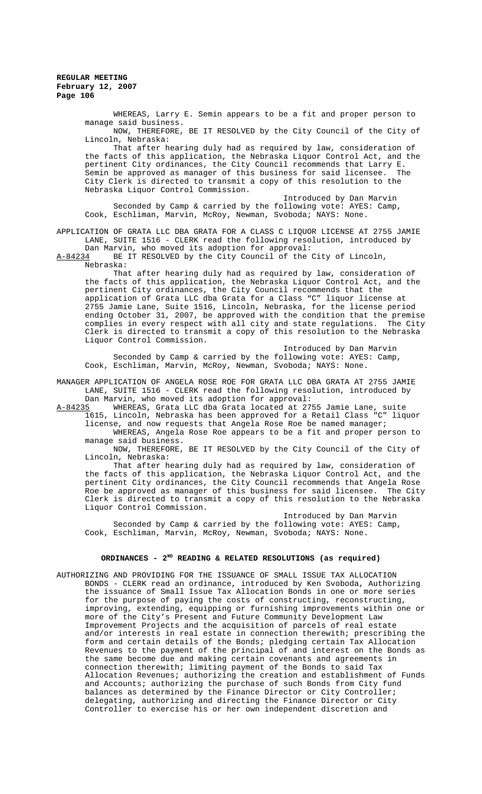WHEREAS, Larry E. Semin appears to be a fit and proper person to manage said business.

NOW, THEREFORE, BE IT RESOLVED by the City Council of the City of Lincoln, Nebraska:

That after hearing duly had as required by law, consideration of the facts of this application, the Nebraska Liquor Control Act, and the pertinent City ordinances, the City Council recommends that Larry E. Semin be approved as manager of this business for said licensee. The City Clerk is directed to transmit a copy of this resolution to the Nebraska Liquor Control Commission.

Introduced by Dan Marvin Seconded by Camp & carried by the following vote: AYES: Camp, Cook, Eschliman, Marvin, McRoy, Newman, Svoboda; NAYS: None.

APPLICATION OF GRATA LLC DBA GRATA FOR A CLASS C LIQUOR LICENSE AT 2755 JAMIE LANE, SUITE 1516 - CLERK read the following resolution, introduced by Dan Marvin, who moved its adoption for approval:

A-84234 BE IT RESOLVED by the City Council of the City of Lincoln,

Nebraska:

That after hearing duly had as required by law, consideration of the facts of this application, the Nebraska Liquor Control Act, and the pertinent City ordinances, the City Council recommends that the application of Grata LLC dba Grata for a Class "C" liquor license at 2755 Jamie Lane, Suite 1516, Lincoln, Nebraska, for the license period ending October 31, 2007, be approved with the condition that the premise complies in every respect with all city and state regulations. The City Clerk is directed to transmit a copy of this resolution to the Nebraska Liquor Control Commission.

Introduced by Dan Marvin Seconded by Camp & carried by the following vote: AYES: Camp, Cook, Eschliman, Marvin, McRoy, Newman, Svoboda; NAYS: None.

MANAGER APPLICATION OF ANGELA ROSE ROE FOR GRATA LLC DBA GRATA AT 2755 JAMIE LANE, SUITE 1516 - CLERK read the following resolution, introduced by Dan Marvin, who moved its adoption for approval:

A-84235 WHEREAS, Grata LLC dba Grata located at 2755 Jamie Lane, suite 1615, Lincoln, Nebraska has been approved for a Retail Class "C" liquor license, and now requests that Angela Rose Roe be named manager;

WHEREAS, Angela Rose Roe appears to be a fit and proper person to manage said business.

NOW, THEREFORE, BE IT RESOLVED by the City Council of the City of Lincoln, Nebraska:

That after hearing duly had as required by law, consideration of the facts of this application, the Nebraska Liquor Control Act, and the pertinent City ordinances, the City Council recommends that Angela Rose Roe be approved as manager of this business for said licensee. The City Clerk is directed to transmit a copy of this resolution to the Nebraska Liquor Control Commission.

Introduced by Dan Marvin Seconded by Camp & carried by the following vote: AYES: Camp, Cook, Eschliman, Marvin, McRoy, Newman, Svoboda; NAYS: None.

## **ORDINANCES - 2ND READING & RELATED RESOLUTIONS (as required)**

AUTHORIZING AND PROVIDING FOR THE ISSUANCE OF SMALL ISSUE TAX ALLOCATION BONDS - CLERK read an ordinance, introduced by Ken Svoboda, Authorizing the issuance of Small Issue Tax Allocation Bonds in one or more series for the purpose of paying the costs of constructing, reconstructing, improving, extending, equipping or furnishing improvements within one or more of the City's Present and Future Community Development Law Improvement Projects and the acquisition of parcels of real estate and/or interests in real estate in connection therewith; prescribing the form and certain details of the Bonds; pledging certain Tax Allocation Revenues to the payment of the principal of and interest on the Bonds as the same become due and making certain covenants and agreements in connection therewith; limiting payment of the Bonds to said Tax Allocation Revenues; authorizing the creation and establishment of Funds and Accounts; authorizing the purchase of such Bonds from City fund balances as determined by the Finance Director or City Controller; delegating, authorizing and directing the Finance Director or City Controller to exercise his or her own independent discretion and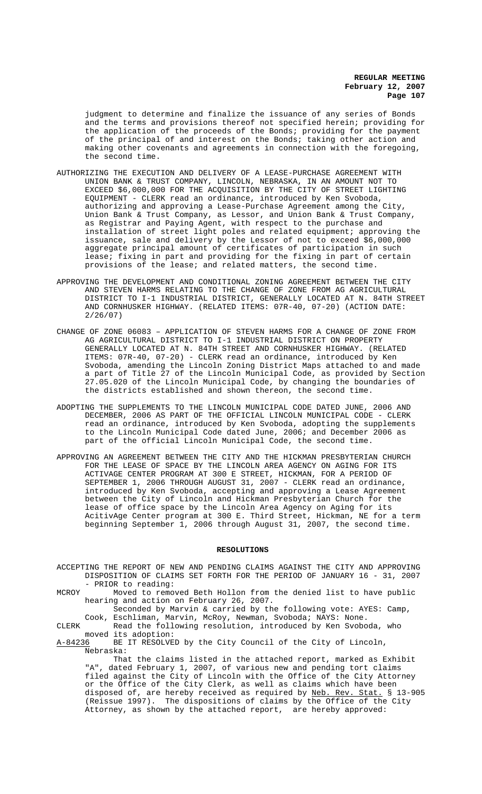judgment to determine and finalize the issuance of any series of Bonds and the terms and provisions thereof not specified herein; providing for the application of the proceeds of the Bonds; providing for the payment of the principal of and interest on the Bonds; taking other action and making other covenants and agreements in connection with the foregoing, the second time.

- AUTHORIZING THE EXECUTION AND DELIVERY OF A LEASE-PURCHASE AGREEMENT WITH UNION BANK & TRUST COMPANY, LINCOLN, NEBRASKA, IN AN AMOUNT NOT TO EXCEED \$6,000,000 FOR THE ACQUISITION BY THE CITY OF STREET LIGHTING EQUIPMENT - CLERK read an ordinance, introduced by Ken Svoboda, authorizing and approving a Lease-Purchase Agreement among the City, Union Bank & Trust Company, as Lessor, and Union Bank & Trust Company, as Registrar and Paying Agent, with respect to the purchase and installation of street light poles and related equipment; approving the issuance, sale and delivery by the Lessor of not to exceed \$6,000,000 aggregate principal amount of certificates of participation in such lease; fixing in part and providing for the fixing in part of certain provisions of the lease; and related matters, the second time.
- APPROVING THE DEVELOPMENT AND CONDITIONAL ZONING AGREEMENT BETWEEN THE CITY AND STEVEN HARMS RELATING TO THE CHANGE OF ZONE FROM AG AGRICULTURAL DISTRICT TO I-1 INDUSTRIAL DISTRICT, GENERALLY LOCATED AT N. 84TH STREET AND CORNHUSKER HIGHWAY. (RELATED ITEMS: 07R-40, 07-20) (ACTION DATE: 2/26/07)
- CHANGE OF ZONE 06083 APPLICATION OF STEVEN HARMS FOR A CHANGE OF ZONE FROM AG AGRICULTURAL DISTRICT TO I-1 INDUSTRIAL DISTRICT ON PROPERTY GENERALLY LOCATED AT N. 84TH STREET AND CORNHUSKER HIGHWAY. (RELATED ITEMS: 07R-40, 07-20) - CLERK read an ordinance, introduced by Ken Svoboda, amending the Lincoln Zoning District Maps attached to and made a part of Title 27 of the Lincoln Municipal Code, as provided by Section 27.05.020 of the Lincoln Municipal Code, by changing the boundaries of the districts established and shown thereon, the second time.
- ADOPTING THE SUPPLEMENTS TO THE LINCOLN MUNICIPAL CODE DATED JUNE, 2006 AND DECEMBER, 2006 AS PART OF THE OFFICIAL LINCOLN MUNICIPAL CODE - CLERK read an ordinance, introduced by Ken Svoboda, adopting the supplements to the Lincoln Municipal Code dated June, 2006; and December 2006 as part of the official Lincoln Municipal Code, the second time.
- APPROVING AN AGREEMENT BETWEEN THE CITY AND THE HICKMAN PRESBYTERIAN CHURCH FOR THE LEASE OF SPACE BY THE LINCOLN AREA AGENCY ON AGING FOR ITS ACTIVAGE CENTER PROGRAM AT 300 E STREET, HICKMAN, FOR A PERIOD OF SEPTEMBER 1, 2006 THROUGH AUGUST 31, 2007 - CLERK read an ordinance, introduced by Ken Svoboda, accepting and approving a Lease Agreement between the City of Lincoln and Hickman Presbyterian Church for the lease of office space by the Lincoln Area Agency on Aging for its AcitivAge Center program at 300 E. Third Street, Hickman, NE for a term beginning September 1, 2006 through August 31, 2007, the second time.

#### **RESOLUTIONS**

- ACCEPTING THE REPORT OF NEW AND PENDING CLAIMS AGAINST THE CITY AND APPROVING DISPOSITION OF CLAIMS SET FORTH FOR THE PERIOD OF JANUARY 16 - 31, 2007 - PRIOR to reading:
- MCROY Moved to removed Beth Hollon from the denied list to have public hearing and action on February 26, 2007.

Seconded by Marvin & carried by the following vote: AYES: Camp, Cook, Eschliman, Marvin, McRoy, Newman, Svoboda; NAYS: None.

CLERK Read the following resolution, introduced by Ken Svoboda, who moved its adoption:

A-84236 BE IT RESOLVED by the City Council of the City of Lincoln, Nebraska:

That the claims listed in the attached report, marked as Exhibit "A", dated February 1, 2007, of various new and pending tort claims filed against the City of Lincoln with the Office of the City Attorney or the Office of the City Clerk, as well as claims which have been disposed of, are hereby received as required by Neb. Rev. Stat. § 13-905 (Reissue 1997). The dispositions of claims by the Office of the City Attorney, as shown by the attached report, are hereby approved: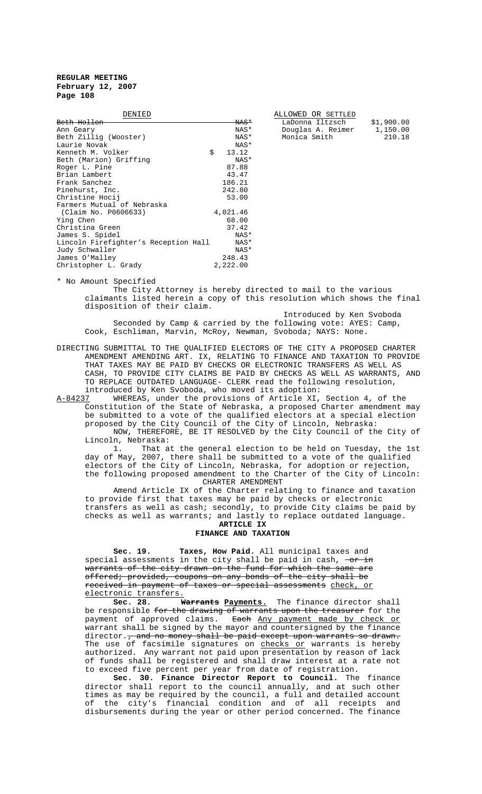| DENIED                               |    |                 | ALLOWED OR SETTLED |            |
|--------------------------------------|----|-----------------|--------------------|------------|
| <del>Beth Hollon</del>               |    | <del>NAS*</del> | LaDonna Iltzsch    | \$1,900.00 |
| Ann Geary                            |    | NAS*            | Douglas A. Reimer  | 1,150.00   |
| Beth Zillig (Wooster)                |    | NAS*            | Monica Smith       | 210.18     |
| Laurie Novak                         |    | NAS*            |                    |            |
| Kenneth M. Volker                    | Ŝ. | 13.12           |                    |            |
| Beth (Marion) Griffing               |    | NAS*            |                    |            |
| Roger L. Pine                        |    | 87.88           |                    |            |
| Brian Lambert                        |    | 43.47           |                    |            |
| Frank Sanchez                        |    | 186.21          |                    |            |
| Pinehurst, Inc.                      |    | 242.80          |                    |            |
| Christine Hocij                      |    | 53.00           |                    |            |
| Farmers Mutual of Nebraska           |    |                 |                    |            |
| (Claim No. P0606633)                 |    | 4,021.46        |                    |            |
| Ying Chen                            |    | 68.00           |                    |            |
| Christina Green                      |    | 37.42           |                    |            |
| James S. Spidel                      |    | NAS*            |                    |            |
| Lincoln Firefighter's Reception Hall |    | NAS*            |                    |            |
| Judy Schwaller                       |    | NAS*            |                    |            |
| James O'Malley                       |    | 248.43          |                    |            |
| Christopher L. Grady                 |    | 2,222.00        |                    |            |

| ALLOWED OR SETTLED |            |
|--------------------|------------|
| LaDonna Iltzsch    | \$1,900.00 |
| Douglas A. Reimer  | 1,150.00   |
| Monica Smith       | 210.18     |

\* No Amount Specified

The City Attorney is hereby directed to mail to the various claimants listed herein a copy of this resolution which shows the final disposition of their claim.

Introduced by Ken Svoboda Seconded by Camp & carried by the following vote: AYES: Camp, Cook, Eschliman, Marvin, McRoy, Newman, Svoboda; NAYS: None.

DIRECTING SUBMITTAL TO THE QUALIFIED ELECTORS OF THE CITY A PROPOSED CHARTER AMENDMENT AMENDING ART. IX, RELATING TO FINANCE AND TAXATION TO PROVIDE THAT TAXES MAY BE PAID BY CHECKS OR ELECTRONIC TRANSFERS AS WELL AS CASH, TO PROVIDE CITY CLAIMS BE PAID BY CHECKS AS WELL AS WARRANTS, AND TO REPLACE OUTDATED LANGUAGE- CLERK read the following resolution,

introduced by Ken Svoboda, who moved its adoption:<br>A-84237 WHEREAS, under the provisions of Article XI, WHEREAS, under the provisions of Article XI, Section 4, of the Constitution of the State of Nebraska, a proposed Charter amendment may be submitted to a vote of the qualified electors at a special election proposed by the City Council of the City of Lincoln, Nebraska:

NOW, THEREFORE, BE IT RESOLVED by the City Council of the City of Lincoln, Nebraska:<br>1. That a

That at the general election to be held on Tuesday, the 1st day of May, 2007, there shall be submitted to a vote of the qualified electors of the City of Lincoln, Nebraska, for adoption or rejection, the following proposed amendment to the Charter of the City of Lincoln: CHARTER AMENDMENT

Amend Article IX of the Charter relating to finance and taxation to provide first that taxes may be paid by checks or electronic transfers as well as cash; secondly, to provide City claims be paid by checks as well as warrants; and lastly to replace outdated language.

## **ARTICLE IX FINANCE AND TAXATION**

 **Sec. 19. Taxes, How Paid.** All municipal taxes and special assessments in the city shall be paid in cash,  $-or in$ warrants of the city drawn on the fund for which the same are offered; provided, coupons on any bonds of the city shall be received in payment of taxes or special assessments check, or electronic transfers.

**Sec. 28. Warrants Payments.** The finance director shall be responsible for the drawing of warrants upon the treasurer for the payment of approved claims. Each Any payment made by check or warrant shall be signed by the mayor and countersigned by the finance director., and no money shall be paid except upon warrants so drawn. The use of facsimile signatures on <u>checks or</u> warrants is hereby authorized. Any warrant not paid upon presentation by reason of lack of funds shall be registered and shall draw interest at a rate not to exceed five percent per year from date of registration.

**Sec. 30. Finance Director Report to Council.** The finance director shall report to the council annually, and at such other times as may be required by the council, a full and detailed account of the city's financial condition and of all receipts and disbursements during the year or other period concerned. The finance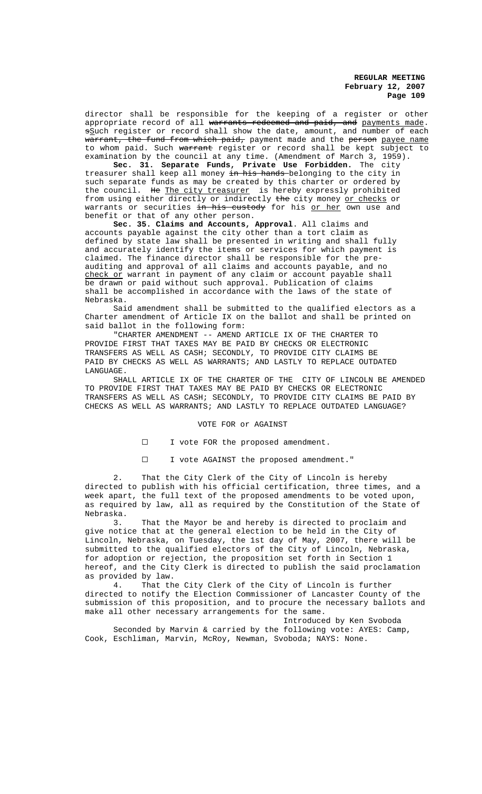director shall be responsible for the keeping of a register or other appropriate record of all warrants redeemed and paid, and payments made. sSuch register or record shall show the date, amount, and number of each warrant, the fund from which paid, payment made and the person payee name to whom paid. Such warrant register or record shall be kept subject to examination by the council at any time. (Amendment of March 3, 1959).

**Sec. 31. Separate Funds, Private Use Forbidden.** The city treasurer shall keep all money <del>in his hands </del>belonging to the city in such separate funds as may be created by this charter or ordered by the council. He The city treasurer is hereby expressly prohibited from using either directly or indirectly the city money or checks or warrants or securities in his custody for his or her own use and benefit or that of any other person.

**Sec. 35. Claims and Accounts, Approval**. All claims and accounts payable against the city other than a tort claim as defined by state law shall be presented in writing and shall fully and accurately identify the items or services for which payment is claimed. The finance director shall be responsible for the preauditing and approval of all claims and accounts payable, and no check or warrant in payment of any claim or account payable shall be drawn or paid without such approval. Publication of claims shall be accomplished in accordance with the laws of the state of Nebraska.

Said amendment shall be submitted to the qualified electors as a Charter amendment of Article IX on the ballot and shall be printed on said ballot in the following form:

"CHARTER AMENDMENT -- AMEND ARTICLE IX OF THE CHARTER TO PROVIDE FIRST THAT TAXES MAY BE PAID BY CHECKS OR ELECTRONIC TRANSFERS AS WELL AS CASH; SECONDLY, TO PROVIDE CITY CLAIMS BE PAID BY CHECKS AS WELL AS WARRANTS; AND LASTLY TO REPLACE OUTDATED LANGUAGE.

SHALL ARTICLE IX OF THE CHARTER OF THE CITY OF LINCOLN BE AMENDED TO PROVIDE FIRST THAT TAXES MAY BE PAID BY CHECKS OR ELECTRONIC TRANSFERS AS WELL AS CASH; SECONDLY, TO PROVIDE CITY CLAIMS BE PAID BY CHECKS AS WELL AS WARRANTS; AND LASTLY TO REPLACE OUTDATED LANGUAGE?

#### VOTE FOR or AGAINST

I I vote FOR the proposed amendment.

G I vote AGAINST the proposed amendment."

2. That the City Clerk of the City of Lincoln is hereby directed to publish with his official certification, three times, and a week apart, the full text of the proposed amendments to be voted upon, as required by law, all as required by the Constitution of the State of Nebraska.

3. That the Mayor be and hereby is directed to proclaim and give notice that at the general election to be held in the City of Lincoln, Nebraska, on Tuesday, the 1st day of May, 2007, there will be submitted to the qualified electors of the City of Lincoln, Nebraska, for adoption or rejection, the proposition set forth in Section 1 hereof, and the City Clerk is directed to publish the said proclamation as provided by law.

4. That the City Clerk of the City of Lincoln is further directed to notify the Election Commissioner of Lancaster County of the submission of this proposition, and to procure the necessary ballots and make all other necessary arrangements for the same.

Introduced by Ken Svoboda

Seconded by Marvin & carried by the following vote: AYES: Camp, Cook, Eschliman, Marvin, McRoy, Newman, Svoboda; NAYS: None.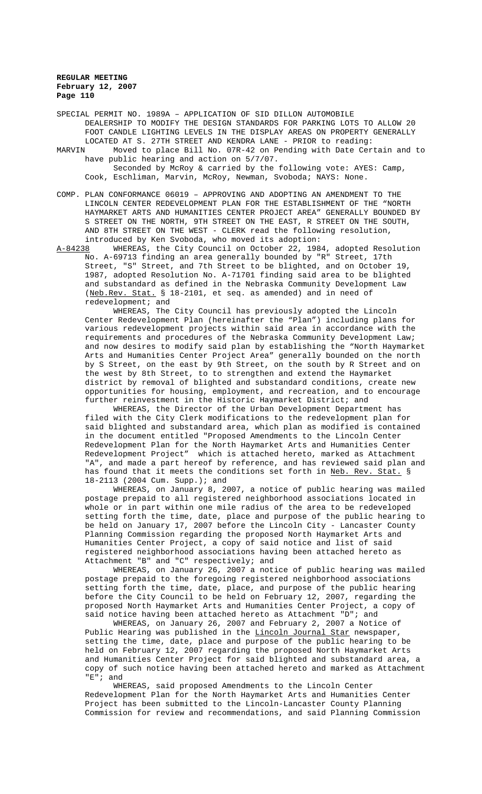SPECIAL PERMIT NO. 1989A – APPLICATION OF SID DILLON AUTOMOBILE DEALERSHIP TO MODIFY THE DESIGN STANDARDS FOR PARKING LOTS TO ALLOW 20 FOOT CANDLE LIGHTING LEVELS IN THE DISPLAY AREAS ON PROPERTY GENERALLY LOCATED AT S. 27TH STREET AND KENDRA LANE - PRIOR to reading:

- MARVIN Moved to place Bill No. 07R-42 on Pending with Date Certain and to have public hearing and action on 5/7/07. Seconded by McRoy & carried by the following vote: AYES: Camp, Cook, Eschliman, Marvin, McRoy, Newman, Svoboda; NAYS: None.
- COMP. PLAN CONFORMANCE 06019 APPROVING AND ADOPTING AN AMENDMENT TO THE LINCOLN CENTER REDEVELOPMENT PLAN FOR THE ESTABLISHMENT OF THE "NORTH HAYMARKET ARTS AND HUMANITIES CENTER PROJECT AREA" GENERALLY BOUNDED BY S STREET ON THE NORTH, 9TH STREET ON THE EAST, R STREET ON THE SOUTH, AND 8TH STREET ON THE WEST - CLERK read the following resolution, introduced by Ken Svoboda, who moved its adoption:

A-84238 WHEREAS, the City Council on October 22, 1984, adopted Resolution No. A-69713 finding an area generally bounded by "R" Street, 17th Street, "S" Street, and 7th Street to be blighted, and on October 19, 1987, adopted Resolution No. A-71701 finding said area to be blighted and substandard as defined in the Nebraska Community Development Law (Neb.Rev. Stat. § 18-2101, et seq. as amended) and in need of redevelopment; and

WHEREAS, The City Council has previously adopted the Lincoln Center Redevelopment Plan (hereinafter the "Plan") including plans for various redevelopment projects within said area in accordance with the requirements and procedures of the Nebraska Community Development Law; and now desires to modify said plan by establishing the "North Haymarket Arts and Humanities Center Project Area" generally bounded on the north by S Street, on the east by 9th Street, on the south by R Street and on the west by 8th Street, to to strengthen and extend the Haymarket district by removal of blighted and substandard conditions, create new opportunities for housing, employment, and recreation, and to encourage further reinvestment in the Historic Haymarket District; and

WHEREAS, the Director of the Urban Development Department has filed with the City Clerk modifications to the redevelopment plan for said blighted and substandard area, which plan as modified is contained in the document entitled "Proposed Amendments to the Lincoln Center Redevelopment Plan for the North Haymarket Arts and Humanities Center Redevelopment Project" which is attached hereto, marked as Attachment "A", and made a part hereof by reference, and has reviewed said plan and has found that it meets the conditions set forth in Neb. Rev. Stat. § 18-2113 (2004 Cum. Supp.); and

WHEREAS, on January 8, 2007, a notice of public hearing was mailed postage prepaid to all registered neighborhood associations located in whole or in part within one mile radius of the area to be redeveloped setting forth the time, date, place and purpose of the public hearing to be held on January 17, 2007 before the Lincoln City - Lancaster County Planning Commission regarding the proposed North Haymarket Arts and Humanities Center Project, a copy of said notice and list of said registered neighborhood associations having been attached hereto as Attachment "B" and "C" respectively; and

WHEREAS, on January 26, 2007 a notice of public hearing was mailed postage prepaid to the foregoing registered neighborhood associations setting forth the time, date, place, and purpose of the public hearing before the City Council to be held on February 12, 2007, regarding the proposed North Haymarket Arts and Humanities Center Project, a copy of said notice having been attached hereto as Attachment "D"; and

WHEREAS, on January 26, 2007 and February 2, 2007 a Notice of Public Hearing was published in the Lincoln Journal Star newspaper, setting the time, date, place and purpose of the public hearing to be held on February 12, 2007 regarding the proposed North Haymarket Arts and Humanities Center Project for said blighted and substandard area, a copy of such notice having been attached hereto and marked as Attachment "E"; and

WHEREAS, said proposed Amendments to the Lincoln Center Redevelopment Plan for the North Haymarket Arts and Humanities Center Project has been submitted to the Lincoln-Lancaster County Planning Commission for review and recommendations, and said Planning Commission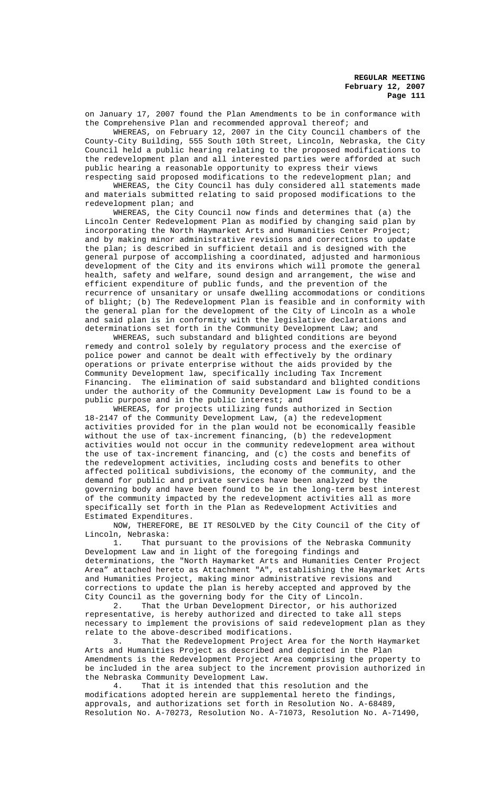on January 17, 2007 found the Plan Amendments to be in conformance with the Comprehensive Plan and recommended approval thereof; and

WHEREAS, on February 12, 2007 in the City Council chambers of the County-City Building, 555 South 10th Street, Lincoln, Nebraska, the City Council held a public hearing relating to the proposed modifications to the redevelopment plan and all interested parties were afforded at such public hearing a reasonable opportunity to express their views respecting said proposed modifications to the redevelopment plan; and

WHEREAS, the City Council has duly considered all statements made and materials submitted relating to said proposed modifications to the redevelopment plan; and

WHEREAS, the City Council now finds and determines that (a) the Lincoln Center Redevelopment Plan as modified by changing said plan by incorporating the North Haymarket Arts and Humanities Center Project; and by making minor administrative revisions and corrections to update the plan; is described in sufficient detail and is designed with the general purpose of accomplishing a coordinated, adjusted and harmonious development of the City and its environs which will promote the general health, safety and welfare, sound design and arrangement, the wise and efficient expenditure of public funds, and the prevention of the recurrence of unsanitary or unsafe dwelling accommodations or conditions of blight; (b) The Redevelopment Plan is feasible and in conformity with the general plan for the development of the City of Lincoln as a whole and said plan is in conformity with the legislative declarations and determinations set forth in the Community Development Law; and

WHEREAS, such substandard and blighted conditions are beyond remedy and control solely by regulatory process and the exercise of police power and cannot be dealt with effectively by the ordinary operations or private enterprise without the aids provided by the Community Development law, specifically including Tax Increment Financing. The elimination of said substandard and blighted conditions under the authority of the Community Development Law is found to be a public purpose and in the public interest; and

WHEREAS, for projects utilizing funds authorized in Section 18-2147 of the Community Development Law, (a) the redevelopment activities provided for in the plan would not be economically feasible without the use of tax-increment financing, (b) the redevelopment activities would not occur in the community redevelopment area without the use of tax-increment financing, and (c) the costs and benefits of the redevelopment activities, including costs and benefits to other affected political subdivisions, the economy of the community, and the demand for public and private services have been analyzed by the governing body and have been found to be in the long-term best interest of the community impacted by the redevelopment activities all as more specifically set forth in the Plan as Redevelopment Activities and Estimated Expenditures.

NOW, THEREFORE, BE IT RESOLVED by the City Council of the City of Lincoln, Nebraska:

1. That pursuant to the provisions of the Nebraska Community Development Law and in light of the foregoing findings and determinations, the "North Haymarket Arts and Humanities Center Project Area" attached hereto as Attachment "A", establishing the Haymarket Arts and Humanities Project, making minor administrative revisions and corrections to update the plan is hereby accepted and approved by the City Council as the governing body for the City of Lincoln.

2. That the Urban Development Director, or his authorized representative, is hereby authorized and directed to take all steps necessary to implement the provisions of said redevelopment plan as they relate to the above-described modifications.

3. That the Redevelopment Project Area for the North Haymarket Arts and Humanities Project as described and depicted in the Plan Amendments is the Redevelopment Project Area comprising the property to be included in the area subject to the increment provision authorized in the Nebraska Community Development Law.

4. That it is intended that this resolution and the modifications adopted herein are supplemental hereto the findings, approvals, and authorizations set forth in Resolution No. A-68489, Resolution No. A-70273, Resolution No. A-71073, Resolution No. A-71490,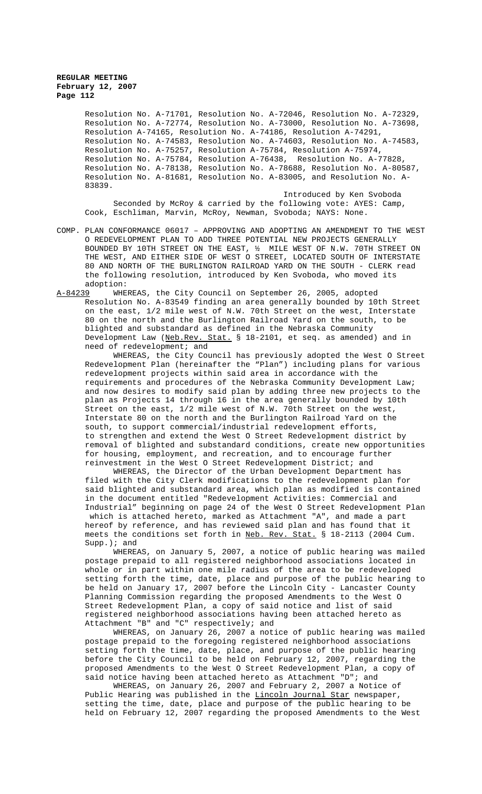Resolution No. A-71701, Resolution No. A-72046, Resolution No. A-72329, Resolution No. A-72774, Resolution No. A-73000, Resolution No. A-73698, Resolution A-74165, Resolution No. A-74186, Resolution A-74291, Resolution No. A-74583, Resolution No. A-74603, Resolution No. A-74583, Resolution No. A-75257, Resolution A-75784, Resolution A-75974, Resolution No. A-75784, Resolution A-76438, Resolution No. A-77828, Resolution No. A-78138, Resolution No. A-78688, Resolution No. A-80587, Resolution No. A-81681, Resolution No. A-83005, and Resolution No. A-83839.

Introduced by Ken Svoboda Seconded by McRoy & carried by the following vote: AYES: Camp, Cook, Eschliman, Marvin, McRoy, Newman, Svoboda; NAYS: None.

COMP. PLAN CONFORMANCE 06017 – APPROVING AND ADOPTING AN AMENDMENT TO THE WEST O REDEVELOPMENT PLAN TO ADD THREE POTENTIAL NEW PROJECTS GENERALLY BOUNDED BY 10TH STREET ON THE EAST, ½ MILE WEST OF N.W. 70TH STREET ON THE WEST, AND EITHER SIDE OF WEST O STREET, LOCATED SOUTH OF INTERSTATE 80 AND NORTH OF THE BURLINGTON RAILROAD YARD ON THE SOUTH - CLERK read the following resolution, introduced by Ken Svoboda, who moved its adoption:

A-84239 WHEREAS, the City Council on September 26, 2005, adopted Resolution No. A-83549 finding an area generally bounded by 10th Street on the east, 1/2 mile west of N.W. 70th Street on the west, Interstate 80 on the north and the Burlington Railroad Yard on the south, to be blighted and substandard as defined in the Nebraska Community Development Law (Neb.Rev. Stat. § 18-2101, et seq. as amended) and in need of redevelopment; and

WHEREAS, the City Council has previously adopted the West O Street Redevelopment Plan (hereinafter the "Plan") including plans for various redevelopment projects within said area in accordance with the requirements and procedures of the Nebraska Community Development Law; and now desires to modify said plan by adding three new projects to the plan as Projects 14 through 16 in the area generally bounded by 10th Street on the east, 1/2 mile west of N.W. 70th Street on the west, Interstate 80 on the north and the Burlington Railroad Yard on the south, to support commercial/industrial redevelopment efforts, to strengthen and extend the West O Street Redevelopment district by removal of blighted and substandard conditions, create new opportunities for housing, employment, and recreation, and to encourage further reinvestment in the West O Street Redevelopment District; and

WHEREAS, the Director of the Urban Development Department has filed with the City Clerk modifications to the redevelopment plan for said blighted and substandard area, which plan as modified is contained in the document entitled "Redevelopment Activities: Commercial and Industrial" beginning on page 24 of the West O Street Redevelopment Plan which is attached hereto, marked as Attachment "A", and made a part hereof by reference, and has reviewed said plan and has found that it meets the conditions set forth in Neb. Rev. Stat. § 18-2113 (2004 Cum. Supp.); and

WHEREAS, on January 5, 2007, a notice of public hearing was mailed postage prepaid to all registered neighborhood associations located in whole or in part within one mile radius of the area to be redeveloped setting forth the time, date, place and purpose of the public hearing to be held on January 17, 2007 before the Lincoln City - Lancaster County Planning Commission regarding the proposed Amendments to the West O Street Redevelopment Plan, a copy of said notice and list of said registered neighborhood associations having been attached hereto as Attachment "B" and "C" respectively; and

WHEREAS, on January 26, 2007 a notice of public hearing was mailed postage prepaid to the foregoing registered neighborhood associations setting forth the time, date, place, and purpose of the public hearing before the City Council to be held on February 12, 2007, regarding the proposed Amendments to the West O Street Redevelopment Plan, a copy of said notice having been attached hereto as Attachment "D"; and

WHEREAS, on January 26, 2007 and February 2, 2007 a Notice of Public Hearing was published in the Lincoln Journal Star newspaper, setting the time, date, place and purpose of the public hearing to be held on February 12, 2007 regarding the proposed Amendments to the West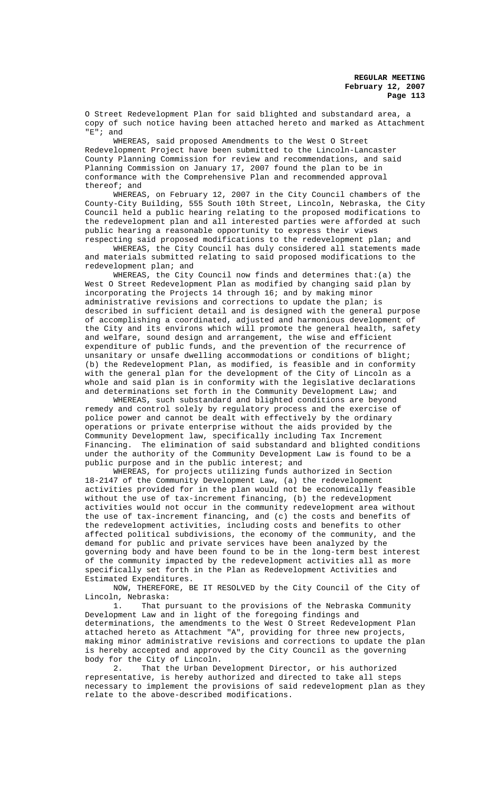O Street Redevelopment Plan for said blighted and substandard area, a copy of such notice having been attached hereto and marked as Attachment "E"; and

WHEREAS, said proposed Amendments to the West O Street Redevelopment Project have been submitted to the Lincoln-Lancaster County Planning Commission for review and recommendations, and said Planning Commission on January 17, 2007 found the plan to be in conformance with the Comprehensive Plan and recommended approval thereof; and

WHEREAS, on February 12, 2007 in the City Council chambers of the County-City Building, 555 South 10th Street, Lincoln, Nebraska, the City Council held a public hearing relating to the proposed modifications to the redevelopment plan and all interested parties were afforded at such public hearing a reasonable opportunity to express their views respecting said proposed modifications to the redevelopment plan; and

WHEREAS, the City Council has duly considered all statements made and materials submitted relating to said proposed modifications to the redevelopment plan; and

WHEREAS, the City Council now finds and determines that:(a) the West O Street Redevelopment Plan as modified by changing said plan by incorporating the Projects 14 through 16; and by making minor administrative revisions and corrections to update the plan; is described in sufficient detail and is designed with the general purpose of accomplishing a coordinated, adjusted and harmonious development of the City and its environs which will promote the general health, safety and welfare, sound design and arrangement, the wise and efficient expenditure of public funds, and the prevention of the recurrence of unsanitary or unsafe dwelling accommodations or conditions of blight; (b) the Redevelopment Plan, as modified, is feasible and in conformity with the general plan for the development of the City of Lincoln as a whole and said plan is in conformity with the legislative declarations and determinations set forth in the Community Development Law; and

WHEREAS, such substandard and blighted conditions are beyond remedy and control solely by regulatory process and the exercise of police power and cannot be dealt with effectively by the ordinary operations or private enterprise without the aids provided by the Community Development law, specifically including Tax Increment Financing. The elimination of said substandard and blighted conditions under the authority of the Community Development Law is found to be a public purpose and in the public interest; and

WHEREAS, for projects utilizing funds authorized in Section 18-2147 of the Community Development Law, (a) the redevelopment activities provided for in the plan would not be economically feasible without the use of tax-increment financing, (b) the redevelopment activities would not occur in the community redevelopment area without the use of tax-increment financing, and  $(c)$  the costs and benefits of the redevelopment activities, including costs and benefits to other affected political subdivisions, the economy of the community, and the demand for public and private services have been analyzed by the governing body and have been found to be in the long-term best interest of the community impacted by the redevelopment activities all as more specifically set forth in the Plan as Redevelopment Activities and Estimated Expenditures.

NOW, THEREFORE, BE IT RESOLVED by the City Council of the City of Lincoln, Nebraska:

1. That pursuant to the provisions of the Nebraska Community Development Law and in light of the foregoing findings and determinations, the amendments to the West O Street Redevelopment Plan attached hereto as Attachment "A", providing for three new projects, making minor administrative revisions and corrections to update the plan is hereby accepted and approved by the City Council as the governing body for the City of Lincoln.

2. That the Urban Development Director, or his authorized representative, is hereby authorized and directed to take all steps necessary to implement the provisions of said redevelopment plan as they relate to the above-described modifications.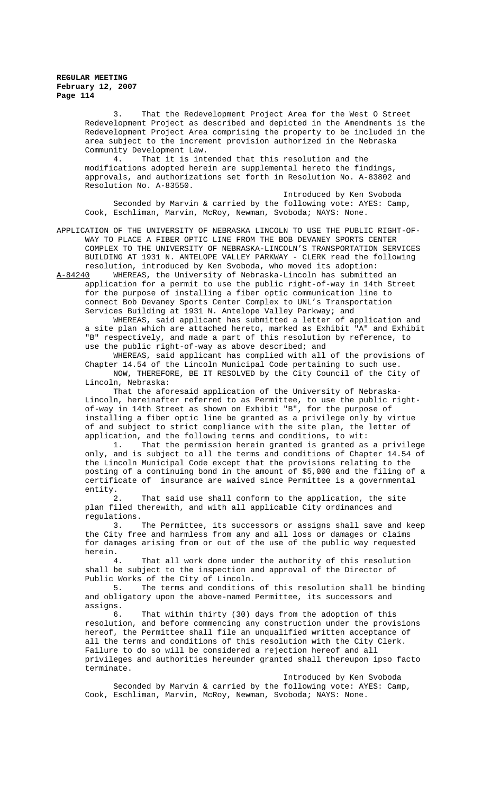3. That the Redevelopment Project Area for the West O Street Redevelopment Project as described and depicted in the Amendments is the Redevelopment Project Area comprising the property to be included in the area subject to the increment provision authorized in the Nebraska Community Development Law.

4. That it is intended that this resolution and the modifications adopted herein are supplemental hereto the findings, approvals, and authorizations set forth in Resolution No. A-83802 and Resolution No. A-83550.

Introduced by Ken Svoboda Seconded by Marvin & carried by the following vote: AYES: Camp, Cook, Eschliman, Marvin, McRoy, Newman, Svoboda; NAYS: None.

APPLICATION OF THE UNIVERSITY OF NEBRASKA LINCOLN TO USE THE PUBLIC RIGHT-OF-WAY TO PLACE A FIBER OPTIC LINE FROM THE BOB DEVANEY SPORTS CENTER COMPLEX TO THE UNIVERSITY OF NEBRASKA-LINCOLN'S TRANSPORTATION SERVICES BUILDING AT 1931 N. ANTELOPE VALLEY PARKWAY - CLERK read the following resolution, introduced by Ken Svoboda, who moved its adoption:

A-84240 WHEREAS, the University of Nebraska-Lincoln has submitted an application for a permit to use the public right-of-way in 14th Street for the purpose of installing a fiber optic communication line to connect Bob Devaney Sports Center Complex to UNL's Transportation Services Building at 1931 N. Antelope Valley Parkway; and

WHEREAS, said applicant has submitted a letter of application and a site plan which are attached hereto, marked as Exhibit "A" and Exhibit "B" respectively, and made a part of this resolution by reference, to use the public right-of-way as above described; and

WHEREAS, said applicant has complied with all of the provisions of Chapter 14.54 of the Lincoln Municipal Code pertaining to such use. NOW, THEREFORE, BE IT RESOLVED by the City Council of the City of Lincoln, Nebraska:

That the aforesaid application of the University of Nebraska-Lincoln, hereinafter referred to as Permittee, to use the public rightof-way in 14th Street as shown on Exhibit "B", for the purpose of installing a fiber optic line be granted as a privilege only by virtue of and subject to strict compliance with the site plan, the letter of application, and the following terms and conditions, to wit:

1. That the permission herein granted is granted as a privilege only, and is subject to all the terms and conditions of Chapter 14.54 of the Lincoln Municipal Code except that the provisions relating to the posting of a continuing bond in the amount of \$5,000 and the filing of a certificate of insurance are waived since Permittee is a governmental entity.

2. That said use shall conform to the application, the site plan filed therewith, and with all applicable City ordinances and regulations.<br>3.

The Permittee, its successors or assigns shall save and keep the City free and harmless from any and all loss or damages or claims for damages arising from or out of the use of the public way requested herein.

4. That all work done under the authority of this resolution shall be subject to the inspection and approval of the Director of Public Works of the City of Lincoln.<br>5. The terms and conditions

The terms and conditions of this resolution shall be binding and obligatory upon the above-named Permittee, its successors and assigns.

6. That within thirty (30) days from the adoption of this resolution, and before commencing any construction under the provisions hereof, the Permittee shall file an unqualified written acceptance of all the terms and conditions of this resolution with the City Clerk. Failure to do so will be considered a rejection hereof and all privileges and authorities hereunder granted shall thereupon ipso facto terminate.

Introduced by Ken Svoboda Seconded by Marvin & carried by the following vote: AYES: Camp, Cook, Eschliman, Marvin, McRoy, Newman, Svoboda; NAYS: None.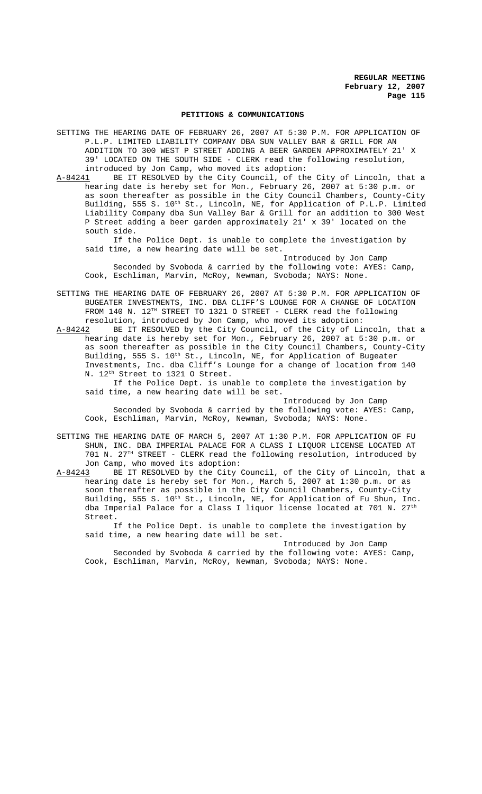#### **PETITIONS & COMMUNICATIONS**

SETTING THE HEARING DATE OF FEBRUARY 26, 2007 AT 5:30 P.M. FOR APPLICATION OF P.L.P. LIMITED LIABILITY COMPANY DBA SUN VALLEY BAR & GRILL FOR AN ADDITION TO 300 WEST P STREET ADDING A BEER GARDEN APPROXIMATELY 21' X 39' LOCATED ON THE SOUTH SIDE - CLERK read the following resolution,

introduced by Jon Camp, who moved its adoption:<br>A-84241 BE IT RESOLVED by the City Council, of the BE IT RESOLVED by the City Council, of the City of Lincoln, that a hearing date is hereby set for Mon., February 26, 2007 at 5:30 p.m. or as soon thereafter as possible in the City Council Chambers, County-City Building, 555 S. 10<sup>th</sup> St., Lincoln, NE, for Application of P.L.P. Limited Liability Company dba Sun Valley Bar & Grill for an addition to 300 West P Street adding a beer garden approximately 21' x 39' located on the south side.

If the Police Dept. is unable to complete the investigation by said time, a new hearing date will be set.

Introduced by Jon Camp Seconded by Svoboda & carried by the following vote: AYES: Camp, Cook, Eschliman, Marvin, McRoy, Newman, Svoboda; NAYS: None.

SETTING THE HEARING DATE OF FEBRUARY 26, 2007 AT 5:30 P.M. FOR APPLICATION OF BUGEATER INVESTMENTS, INC. DBA CLIFF'S LOUNGE FOR A CHANGE OF LOCATION FROM 140 N. 12TH STREET TO 1321 O STREET - CLERK read the following resolution, introduced by Jon Camp, who moved its adoption:

A-84242 BE IT RESOLVED by the City Council, of the City of Lincoln, that a hearing date is hereby set for Mon., February 26, 2007 at 5:30 p.m. or as soon thereafter as possible in the City Council Chambers, County-City Building, 555 S. 10<sup>th</sup> St., Lincoln, NE, for Application of Bugeater Investments, Inc. dba Cliff's Lounge for a change of location from 140 N. 12th Street to 1321 O Street.

If the Police Dept. is unable to complete the investigation by said time, a new hearing date will be set.

Introduced by Jon Camp Seconded by Svoboda & carried by the following vote: AYES: Camp, Cook, Eschliman, Marvin, McRoy, Newman, Svoboda; NAYS: None.

SETTING THE HEARING DATE OF MARCH 5, 2007 AT 1:30 P.M. FOR APPLICATION OF FU SHUN, INC. DBA IMPERIAL PALACE FOR A CLASS I LIQUOR LICENSE LOCATED AT 701 N. 27TH STREET - CLERK read the following resolution, introduced by Jon Camp, who moved its adoption:

A-84243 BE IT RESOLVED by the City Council, of the City of Lincoln, that a hearing date is hereby set for Mon., March 5, 2007 at 1:30 p.m. or as soon thereafter as possible in the City Council Chambers, County-City Building, 555 S. 10<sup>th</sup> St., Lincoln, NE, for Application of Fu Shun, Inc. dba Imperial Palace for a Class I liquor license located at 701 N.  $27<sup>th</sup>$ Street.

If the Police Dept. is unable to complete the investigation by said time, a new hearing date will be set.

Introduced by Jon Camp Seconded by Svoboda & carried by the following vote: AYES: Camp, Cook, Eschliman, Marvin, McRoy, Newman, Svoboda; NAYS: None.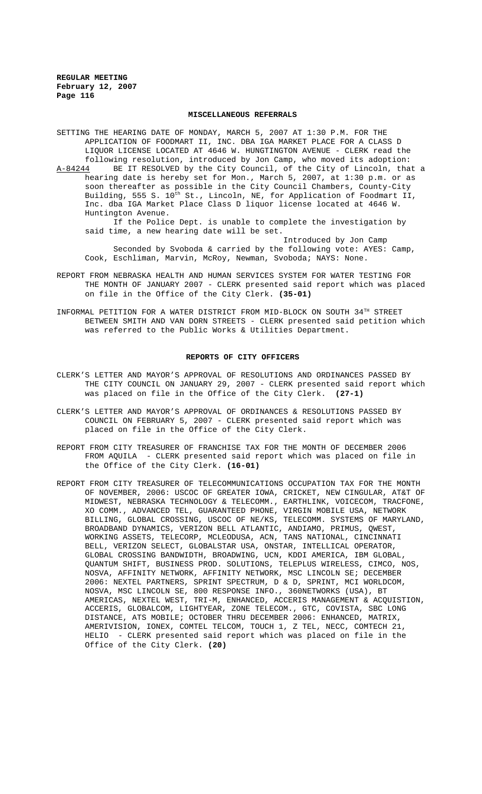#### **MISCELLANEOUS REFERRALS**

SETTING THE HEARING DATE OF MONDAY, MARCH 5, 2007 AT 1:30 P.M. FOR THE APPLICATION OF FOODMART II, INC. DBA IGA MARKET PLACE FOR A CLASS D LIQUOR LICENSE LOCATED AT 4646 W. HUNGTINGTON AVENUE - CLERK read the following resolution, introduced by Jon Camp, who moved its adoption: A-84244 BE IT RESOLVED by the City Council, of the City of Lincoln, that a hearing date is hereby set for Mon., March 5, 2007, at 1:30 p.m. or as soon thereafter as possible in the City Council Chambers, County-City Building, 555 S. 10<sup>th</sup> St., Lincoln, NE, for Application of Foodmart II, Inc. dba IGA Market Place Class D liquor license located at 4646 W. Huntington Avenue. If the Police Dept. is unable to complete the investigation by

said time, a new hearing date will be set.

Introduced by Jon Camp Seconded by Svoboda & carried by the following vote: AYES: Camp, Cook, Eschliman, Marvin, McRoy, Newman, Svoboda; NAYS: None.

- REPORT FROM NEBRASKA HEALTH AND HUMAN SERVICES SYSTEM FOR WATER TESTING FOR THE MONTH OF JANUARY 2007 - CLERK presented said report which was placed on file in the Office of the City Clerk. **(35-01)**
- INFORMAL PETITION FOR A WATER DISTRICT FROM MID-BLOCK ON SOUTH 34TH STREET BETWEEN SMITH AND VAN DORN STREETS - CLERK presented said petition which was referred to the Public Works & Utilities Department.

#### **REPORTS OF CITY OFFICERS**

- CLERK'S LETTER AND MAYOR'S APPROVAL OF RESOLUTIONS AND ORDINANCES PASSED BY THE CITY COUNCIL ON JANUARY 29, 2007 - CLERK presented said report which was placed on file in the Office of the City Clerk. **(27-1)**
- CLERK'S LETTER AND MAYOR'S APPROVAL OF ORDINANCES & RESOLUTIONS PASSED BY COUNCIL ON FEBRUARY 5, 2007 - CLERK presented said report which was placed on file in the Office of the City Clerk.
- REPORT FROM CITY TREASURER OF FRANCHISE TAX FOR THE MONTH OF DECEMBER 2006 FROM AQUILA - CLERK presented said report which was placed on file in the Office of the City Clerk. **(16-01)**
- REPORT FROM CITY TREASURER OF TELECOMMUNICATIONS OCCUPATION TAX FOR THE MONTH OF NOVEMBER, 2006: USCOC OF GREATER IOWA, CRICKET, NEW CINGULAR, AT&T OF MIDWEST, NEBRASKA TECHNOLOGY & TELECOMM., EARTHLINK, VOICECOM, TRACFONE, XO COMM., ADVANCED TEL, GUARANTEED PHONE, VIRGIN MOBILE USA, NETWORK BILLING, GLOBAL CROSSING, USCOC OF NE/KS, TELECOMM. SYSTEMS OF MARYLAND, BROADBAND DYNAMICS, VERIZON BELL ATLANTIC, ANDIAMO, PRIMUS, QWEST, WORKING ASSETS, TELECORP, MCLEODUSA, ACN, TANS NATIONAL, CINCINNATI BELL, VERIZON SELECT, GLOBALSTAR USA, ONSTAR, INTELLICAL OPERATOR, GLOBAL CROSSING BANDWIDTH, BROADWING, UCN, KDDI AMERICA, IBM GLOBAL, QUANTUM SHIFT, BUSINESS PROD. SOLUTIONS, TELEPLUS WIRELESS, CIMCO, NOS, NOSVA, AFFINITY NETWORK, AFFINITY NETWORK, MSC LINCOLN SE; DECEMBER 2006: NEXTEL PARTNERS, SPRINT SPECTRUM, D & D, SPRINT, MCI WORLDCOM, NOSVA, MSC LINCOLN SE, 800 RESPONSE INFO., 360NETWORKS (USA), BT AMERICAS, NEXTEL WEST, TRI-M, ENHANCED, ACCERIS MANAGEMENT & ACQUISTION, ACCERIS, GLOBALCOM, LIGHTYEAR, ZONE TELECOM., GTC, COVISTA, SBC LONG DISTANCE, ATS MOBILE; OCTOBER THRU DECEMBER 2006: ENHANCED, MATRIX, AMERIVISION, IONEX, COMTEL TELCOM, TOUCH 1, Z TEL, NECC, COMTECH 21, HELIO - CLERK presented said report which was placed on file in the Office of the City Clerk. **(20)**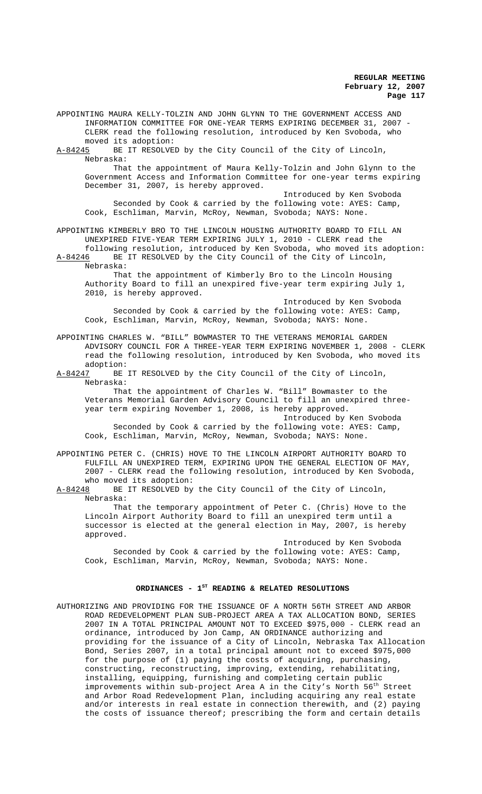APPOINTING MAURA KELLY-TOLZIN AND JOHN GLYNN TO THE GOVERNMENT ACCESS AND INFORMATION COMMITTEE FOR ONE-YEAR TERMS EXPIRING DECEMBER 31, 2007 - CLERK read the following resolution, introduced by Ken Svoboda, who moved its adoption:

A-84245 BE IT RESOLVED by the City Council of the City of Lincoln, Nebraska:

That the appointment of Maura Kelly-Tolzin and John Glynn to the Government Access and Information Committee for one-year terms expiring December 31, 2007, is hereby approved.

Introduced by Ken Svoboda Seconded by Cook & carried by the following vote: AYES: Camp, Cook, Eschliman, Marvin, McRoy, Newman, Svoboda; NAYS: None.

APPOINTING KIMBERLY BRO TO THE LINCOLN HOUSING AUTHORITY BOARD TO FILL AN UNEXPIRED FIVE-YEAR TERM EXPIRING JULY 1, 2010 - CLERK read the following resolution, introduced by Ken Svoboda, who moved its adoption:

A-84246 BE IT RESOLVED by the City Council of the City of Lincoln, Nebraska:

That the appointment of Kimberly Bro to the Lincoln Housing Authority Board to fill an unexpired five-year term expiring July 1, 2010, is hereby approved.

Introduced by Ken Svoboda Seconded by Cook & carried by the following vote: AYES: Camp, Cook, Eschliman, Marvin, McRoy, Newman, Svoboda; NAYS: None.

APPOINTING CHARLES W. "BILL" BOWMASTER TO THE VETERANS MEMORIAL GARDEN ADVISORY COUNCIL FOR A THREE-YEAR TERM EXPIRING NOVEMBER 1, 2008 - CLERK read the following resolution, introduced by Ken Svoboda, who moved its adoption:

A-84247 BE IT RESOLVED by the City Council of the City of Lincoln, Nebraska:

That the appointment of Charles W. "Bill" Bowmaster to the Veterans Memorial Garden Advisory Council to fill an unexpired threeyear term expiring November 1, 2008, is hereby approved.

Introduced by Ken Svoboda Seconded by Cook & carried by the following vote: AYES: Camp, Cook, Eschliman, Marvin, McRoy, Newman, Svoboda; NAYS: None.

APPOINTING PETER C. (CHRIS) HOVE TO THE LINCOLN AIRPORT AUTHORITY BOARD TO FULFILL AN UNEXPIRED TERM, EXPIRING UPON THE GENERAL ELECTION OF MAY, 2007 - CLERK read the following resolution, introduced by Ken Svoboda, who moved its adoption:

A-84248 BE IT RESOLVED by the City Council of the City of Lincoln, Nebraska:

That the temporary appointment of Peter C. (Chris) Hove to the Lincoln Airport Authority Board to fill an unexpired term until a successor is elected at the general election in May, 2007, is hereby approved.

Introduced by Ken Svoboda Seconded by Cook & carried by the following vote: AYES: Camp, Cook, Eschliman, Marvin, McRoy, Newman, Svoboda; NAYS: None.

# ORDINANCES - 1<sup>st</sup> READING & RELATED RESOLUTIONS

AUTHORIZING AND PROVIDING FOR THE ISSUANCE OF A NORTH 56TH STREET AND ARBOR ROAD REDEVELOPMENT PLAN SUB-PROJECT AREA A TAX ALLOCATION BOND, SERIES 2007 IN A TOTAL PRINCIPAL AMOUNT NOT TO EXCEED \$975,000 - CLERK read an ordinance, introduced by Jon Camp, AN ORDINANCE authorizing and providing for the issuance of a City of Lincoln, Nebraska Tax Allocation Bond, Series 2007, in a total principal amount not to exceed \$975,000 for the purpose of (1) paying the costs of acquiring, purchasing, constructing, reconstructing, improving, extending, rehabilitating, installing, equipping, furnishing and completing certain public improvements within sub-project Area A in the City's North  $56^{th}$  Street and Arbor Road Redevelopment Plan, including acquiring any real estate and/or interests in real estate in connection therewith, and (2) paying the costs of issuance thereof; prescribing the form and certain details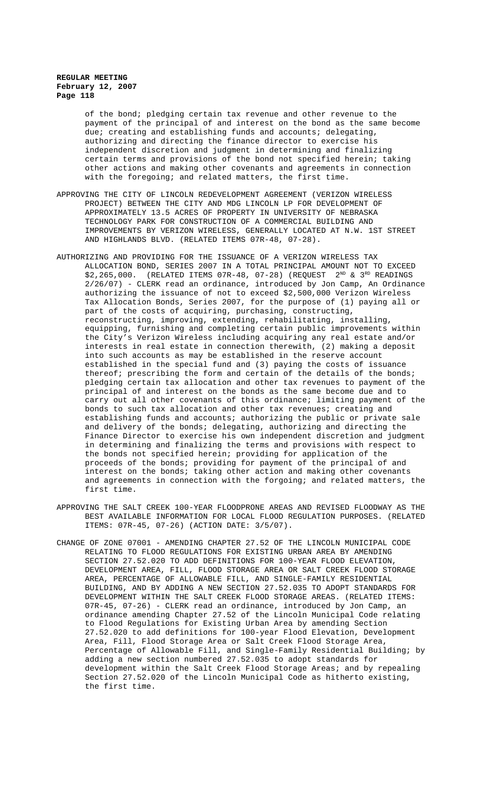of the bond; pledging certain tax revenue and other revenue to the payment of the principal of and interest on the bond as the same become due; creating and establishing funds and accounts; delegating, authorizing and directing the finance director to exercise his independent discretion and judgment in determining and finalizing certain terms and provisions of the bond not specified herein; taking other actions and making other covenants and agreements in connection with the foregoing; and related matters, the first time.

- APPROVING THE CITY OF LINCOLN REDEVELOPMENT AGREEMENT (VERIZON WIRELESS PROJECT) BETWEEN THE CITY AND MDG LINCOLN LP FOR DEVELOPMENT OF APPROXIMATELY 13.5 ACRES OF PROPERTY IN UNIVERSITY OF NEBRASKA TECHNOLOGY PARK FOR CONSTRUCTION OF A COMMERCIAL BUILDING AND IMPROVEMENTS BY VERIZON WIRELESS, GENERALLY LOCATED AT N.W. 1ST STREET AND HIGHLANDS BLVD. (RELATED ITEMS 07R-48, 07-28).
- AUTHORIZING AND PROVIDING FOR THE ISSUANCE OF A VERIZON WIRELESS TAX ALLOCATION BOND, SERIES 2007 IN A TOTAL PRINCIPAL AMOUNT NOT TO EXCEED  $$2,265,000.$  (RELATED ITEMS 07R-48, 07-28) (REQUEST  $2^{ND}$  &  $3^{RD}$  READINGS 2/26/07) - CLERK read an ordinance, introduced by Jon Camp, An Ordinance authorizing the issuance of not to exceed \$2,500,000 Verizon Wireless Tax Allocation Bonds, Series 2007, for the purpose of (1) paying all or part of the costs of acquiring, purchasing, constructing, reconstructing, improving, extending, rehabilitating, installing, equipping, furnishing and completing certain public improvements within the City's Verizon Wireless including acquiring any real estate and/or interests in real estate in connection therewith, (2) making a deposit into such accounts as may be established in the reserve account established in the special fund and (3) paying the costs of issuance thereof; prescribing the form and certain of the details of the bonds; pledging certain tax allocation and other tax revenues to payment of the principal of and interest on the bonds as the same become due and to carry out all other covenants of this ordinance; limiting payment of the bonds to such tax allocation and other tax revenues; creating and establishing funds and accounts; authorizing the public or private sale and delivery of the bonds; delegating, authorizing and directing the Finance Director to exercise his own independent discretion and judgment in determining and finalizing the terms and provisions with respect to the bonds not specified herein; providing for application of the proceeds of the bonds; providing for payment of the principal of and interest on the bonds; taking other action and making other covenants and agreements in connection with the forgoing; and related matters, the first time.
- APPROVING THE SALT CREEK 100-YEAR FLOODPRONE AREAS AND REVISED FLOODWAY AS THE BEST AVAILABLE INFORMATION FOR LOCAL FLOOD REGULATION PURPOSES. (RELATED ITEMS: 07R-45, 07-26) (ACTION DATE: 3/5/07).
- CHANGE OF ZONE 07001 AMENDING CHAPTER 27.52 OF THE LINCOLN MUNICIPAL CODE RELATING TO FLOOD REGULATIONS FOR EXISTING URBAN AREA BY AMENDING SECTION 27.52.020 TO ADD DEFINITIONS FOR 100-YEAR FLOOD ELEVATION, DEVELOPMENT AREA, FILL, FLOOD STORAGE AREA OR SALT CREEK FLOOD STORAGE AREA, PERCENTAGE OF ALLOWABLE FILL, AND SINGLE-FAMILY RESIDENTIAL BUILDING, AND BY ADDING A NEW SECTION 27.52.035 TO ADOPT STANDARDS FOR DEVELOPMENT WITHIN THE SALT CREEK FLOOD STORAGE AREAS. (RELATED ITEMS: 07R-45, 07-26) - CLERK read an ordinance, introduced by Jon Camp, an ordinance amending Chapter 27.52 of the Lincoln Municipal Code relating to Flood Regulations for Existing Urban Area by amending Section 27.52.020 to add definitions for 100-year Flood Elevation, Development Area, Fill, Flood Storage Area or Salt Creek Flood Storage Area, Percentage of Allowable Fill, and Single-Family Residential Building; by adding a new section numbered 27.52.035 to adopt standards for development within the Salt Creek Flood Storage Areas; and by repealing Section 27.52.020 of the Lincoln Municipal Code as hitherto existing, the first time.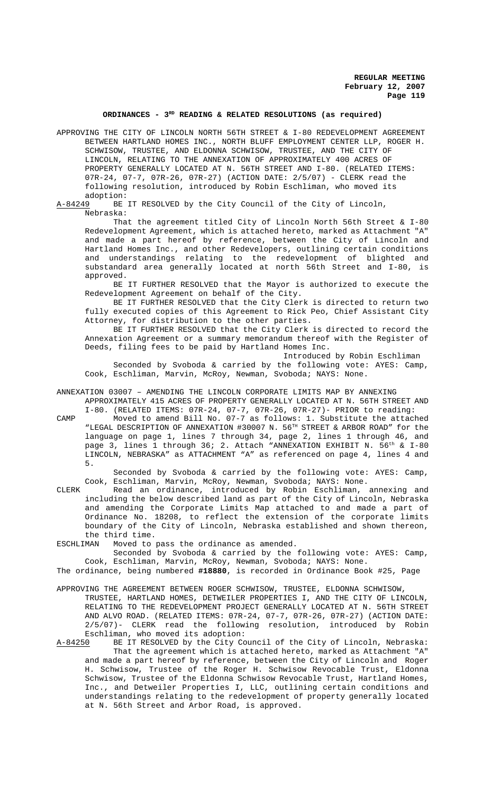# **ORDINANCES - 3RD READING & RELATED RESOLUTIONS (as required)**

APPROVING THE CITY OF LINCOLN NORTH 56TH STREET & I-80 REDEVELOPMENT AGREEMENT BETWEEN HARTLAND HOMES INC., NORTH BLUFF EMPLOYMENT CENTER LLP, ROGER H. SCHWISOW, TRUSTEE, AND ELDONNA SCHWISOW, TRUSTEE, AND THE CITY OF LINCOLN, RELATING TO THE ANNEXATION OF APPROXIMATELY 400 ACRES OF PROPERTY GENERALLY LOCATED AT N. 56TH STREET AND I-80. (RELATED ITEMS: 07R-24, 07-7, 07R-26, 07R-27) (ACTION DATE: 2/5/07) - CLERK read the following resolution, introduced by Robin Eschliman, who moved its adoption:

A-84249 BE IT RESOLVED by the City Council of the City of Lincoln, Nebraska:

That the agreement titled City of Lincoln North 56th Street & I-80 Redevelopment Agreement, which is attached hereto, marked as Attachment "A" and made a part hereof by reference, between the City of Lincoln and Hartland Homes Inc., and other Redevelopers, outlining certain conditions and understandings relating to the redevelopment of blighted and substandard area generally located at north 56th Street and I-80, is approved.

BE IT FURTHER RESOLVED that the Mayor is authorized to execute the Redevelopment Agreement on behalf of the City.

BE IT FURTHER RESOLVED that the City Clerk is directed to return two fully executed copies of this Agreement to Rick Peo, Chief Assistant City Attorney, for distribution to the other parties.

BE IT FURTHER RESOLVED that the City Clerk is directed to record the Annexation Agreement or a summary memorandum thereof with the Register of Deeds, filing fees to be paid by Hartland Homes Inc.

Introduced by Robin Eschliman

Seconded by Svoboda & carried by the following vote: AYES: Camp, Cook, Eschliman, Marvin, McRoy, Newman, Svoboda; NAYS: None.

ANNEXATION 03007 – AMENDING THE LINCOLN CORPORATE LIMITS MAP BY ANNEXING APPROXIMATELY 415 ACRES OF PROPERTY GENERALLY LOCATED AT N. 56TH STREET AND

I-80. (RELATED ITEMS: 07R-24, 07-7, 07R-26, 07R-27)- PRIOR to reading: CAMP Moved to amend Bill No. 07-7 as follows: 1. Substitute the attached "LEGAL DESCRIPTION OF ANNEXATION #30007 N. 56<sup>TH</sup> STREET & ARBOR ROAD" for the language on page 1, lines 7 through 34, page 2, lines 1 through 46, and page 3, lines 1 through 36; 2. Attach "ANNEXATION EXHIBIT N. 56<sup>th</sup> & I-80 LINCOLN, NEBRASKA" as ATTACHMENT "A" as referenced on page 4, lines 4 and 5.

Seconded by Svoboda & carried by the following vote: AYES: Camp, Cook, Eschliman, Marvin, McRoy, Newman, Svoboda; NAYS: None.

CLERK Read an ordinance, introduced by Robin Eschliman, annexing and including the below described land as part of the City of Lincoln, Nebraska and amending the Corporate Limits Map attached to and made a part of Ordinance No. 18208, to reflect the extension of the corporate limits boundary of the City of Lincoln, Nebraska established and shown thereon, the third time.

ESCHLIMAN Moved to pass the ordinance as amended.

Seconded by Svoboda & carried by the following vote: AYES: Camp, Cook, Eschliman, Marvin, McRoy, Newman, Svoboda; NAYS: None.

The ordinance, being numbered **#18880**, is recorded in Ordinance Book #25, Page

APPROVING THE AGREEMENT BETWEEN ROGER SCHWISOW, TRUSTEE, ELDONNA SCHWISOW, TRUSTEE, HARTLAND HOMES, DETWEILER PROPERTIES I, AND THE CITY OF LINCOLN, RELATING TO THE REDEVELOPMENT PROJECT GENERALLY LOCATED AT N. 56TH STREET AND ALVO ROAD. (RELATED ITEMS: 07R-24, 07-7, 07R-26, 07R-27) (ACTION DATE: 2/5/07)- CLERK read the following resolution, introduced by Robin Eschliman, who moved its adoption:

A-84250 BE IT RESOLVED by the City Council of the City of Lincoln, Nebraska: That the agreement which is attached hereto, marked as Attachment "A" and made a part hereof by reference, between the City of Lincoln and Roger H. Schwisow, Trustee of the Roger H. Schwisow Revocable Trust, Eldonna Schwisow, Trustee of the Eldonna Schwisow Revocable Trust, Hartland Homes, Inc., and Detweiler Properties I, LLC, outlining certain conditions and understandings relating to the redevelopment of property generally located at N. 56th Street and Arbor Road, is approved.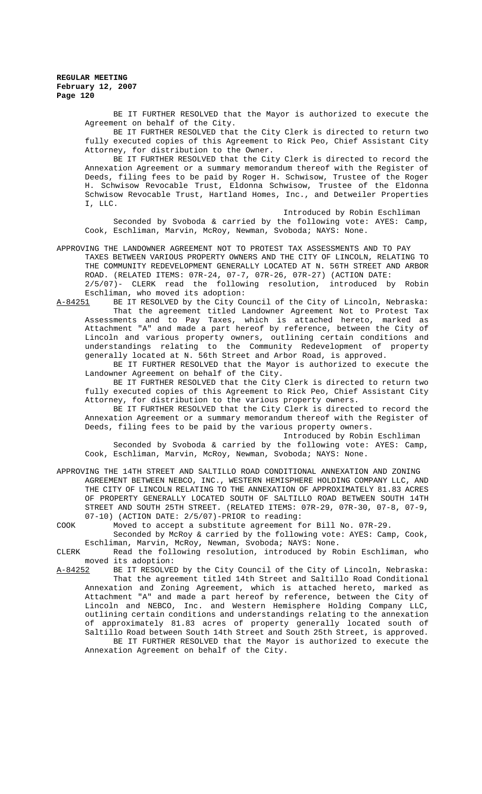BE IT FURTHER RESOLVED that the Mayor is authorized to execute the Agreement on behalf of the City.

BE IT FURTHER RESOLVED that the City Clerk is directed to return two fully executed copies of this Agreement to Rick Peo, Chief Assistant City Attorney, for distribution to the Owner.

BE IT FURTHER RESOLVED that the City Clerk is directed to record the Annexation Agreement or a summary memorandum thereof with the Register of Deeds, filing fees to be paid by Roger H. Schwisow, Trustee of the Roger H. Schwisow Revocable Trust, Eldonna Schwisow, Trustee of the Eldonna Schwisow Revocable Trust, Hartland Homes, Inc., and Detweiler Properties I, LLC.

Introduced by Robin Eschliman Seconded by Svoboda & carried by the following vote: AYES: Camp, Cook, Eschliman, Marvin, McRoy, Newman, Svoboda; NAYS: None.

APPROVING THE LANDOWNER AGREEMENT NOT TO PROTEST TAX ASSESSMENTS AND TO PAY

TAXES BETWEEN VARIOUS PROPERTY OWNERS AND THE CITY OF LINCOLN, RELATING TO THE COMMUNITY REDEVELOPMENT GENERALLY LOCATED AT N. 56TH STREET AND ARBOR ROAD. (RELATED ITEMS: 07R-24, 07-7, 07R-26, 07R-27) (ACTION DATE: 2/5/07)- CLERK read the following resolution, introduced by Robin

Eschliman, who moved its adoption: A-84251 BE IT RESOLVED by the City Council of the City of Lincoln, Nebraska: That the agreement titled Landowner Agreement Not to Protest Tax Assessments and to Pay Taxes, which is attached hereto, marked as Attachment "A" and made a part hereof by reference, between the City of Lincoln and various property owners, outlining certain conditions and understandings relating to the Community Redevelopment of property generally located at N. 56th Street and Arbor Road, is approved.

BE IT FURTHER RESOLVED that the Mayor is authorized to execute the Landowner Agreement on behalf of the City.

BE IT FURTHER RESOLVED that the City Clerk is directed to return two fully executed copies of this Agreement to Rick Peo, Chief Assistant City Attorney, for distribution to the various property owners.

BE IT FURTHER RESOLVED that the City Clerk is directed to record the Annexation Agreement or a summary memorandum thereof with the Register of Deeds, filing fees to be paid by the various property owners.

Introduced by Robin Eschliman

Seconded by Svoboda & carried by the following vote: AYES: Camp, Cook, Eschliman, Marvin, McRoy, Newman, Svoboda; NAYS: None.

APPROVING THE 14TH STREET AND SALTILLO ROAD CONDITIONAL ANNEXATION AND ZONING AGREEMENT BETWEEN NEBCO, INC., WESTERN HEMISPHERE HOLDING COMPANY LLC, AND THE CITY OF LINCOLN RELATING TO THE ANNEXATION OF APPROXIMATELY 81.83 ACRES OF PROPERTY GENERALLY LOCATED SOUTH OF SALTILLO ROAD BETWEEN SOUTH 14TH STREET AND SOUTH 25TH STREET. (RELATED ITEMS: 07R-29, 07R-30, 07-8, 07-9, 07-10) (ACTION DATE: 2/5/07)-PRIOR to reading:

COOK Moved to accept a substitute agreement for Bill No. 07R-29.

Seconded by McRoy & carried by the following vote: AYES: Camp, Cook, Eschliman, Marvin, McRoy, Newman, Svoboda; NAYS: None.

CLERK Read the following resolution, introduced by Robin Eschliman, who moved its adoption:

A-84252 BE IT RESOLVED by the City Council of the City of Lincoln, Nebraska: That the agreement titled 14th Street and Saltillo Road Conditional Annexation and Zoning Agreement, which is attached hereto, marked as Attachment "A" and made a part hereof by reference, between the City of Lincoln and NEBCO, Inc. and Western Hemisphere Holding Company LLC, outlining certain conditions and understandings relating to the annexation of approximately 81.83 acres of property generally located south of Saltillo Road between South 14th Street and South 25th Street, is approved.

BE IT FURTHER RESOLVED that the Mayor is authorized to execute the Annexation Agreement on behalf of the City.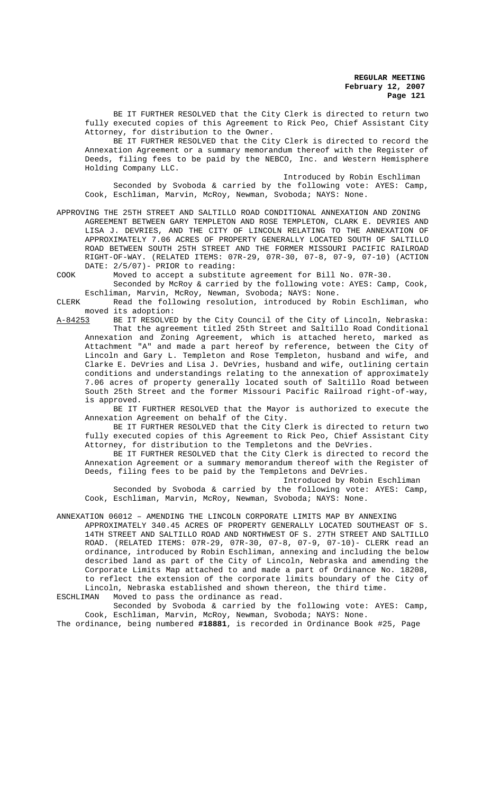BE IT FURTHER RESOLVED that the City Clerk is directed to return two fully executed copies of this Agreement to Rick Peo, Chief Assistant City Attorney, for distribution to the Owner.

BE IT FURTHER RESOLVED that the City Clerk is directed to record the Annexation Agreement or a summary memorandum thereof with the Register of Deeds, filing fees to be paid by the NEBCO, Inc. and Western Hemisphere Holding Company LLC.

Introduced by Robin Eschliman

Seconded by Svoboda & carried by the following vote: AYES: Camp, Cook, Eschliman, Marvin, McRoy, Newman, Svoboda; NAYS: None.

APPROVING THE 25TH STREET AND SALTILLO ROAD CONDITIONAL ANNEXATION AND ZONING AGREEMENT BETWEEN GARY TEMPLETON AND ROSE TEMPLETON, CLARK E. DEVRIES AND LISA J. DEVRIES, AND THE CITY OF LINCOLN RELATING TO THE ANNEXATION OF APPROXIMATELY 7.06 ACRES OF PROPERTY GENERALLY LOCATED SOUTH OF SALTILLO ROAD BETWEEN SOUTH 25TH STREET AND THE FORMER MISSOURI PACIFIC RAILROAD RIGHT-OF-WAY. (RELATED ITEMS: 07R-29, 07R-30, 07-8, 07-9, 07-10) (ACTION DATE: 2/5/07)- PRIOR to reading:

COOK Moved to accept a substitute agreement for Bill No. 07R-30.

Seconded by McRoy & carried by the following vote: AYES: Camp, Cook, Eschliman, Marvin, McRoy, Newman, Svoboda; NAYS: None.

CLERK Read the following resolution, introduced by Robin Eschliman, who moved its adoption:

A-84253 BE IT RESOLVED by the City Council of the City of Lincoln, Nebraska: That the agreement titled 25th Street and Saltillo Road Conditional Annexation and Zoning Agreement, which is attached hereto, marked as Attachment "A" and made a part hereof by reference, between the City of Lincoln and Gary L. Templeton and Rose Templeton, husband and wife, and Clarke E. DeVries and Lisa J. DeVries, husband and wife, outlining certain conditions and understandings relating to the annexation of approximately 7.06 acres of property generally located south of Saltillo Road between South 25th Street and the former Missouri Pacific Railroad right-of-way, is approved.

BE IT FURTHER RESOLVED that the Mayor is authorized to execute the Annexation Agreement on behalf of the City.

BE IT FURTHER RESOLVED that the City Clerk is directed to return two fully executed copies of this Agreement to Rick Peo, Chief Assistant City Attorney, for distribution to the Templetons and the DeVries.

BE IT FURTHER RESOLVED that the City Clerk is directed to record the Annexation Agreement or a summary memorandum thereof with the Register of Deeds, filing fees to be paid by the Templetons and DeVries.

Introduced by Robin Eschliman Seconded by Svoboda & carried by the following vote: AYES: Camp, Cook, Eschliman, Marvin, McRoy, Newman, Svoboda; NAYS: None.

ANNEXATION 06012 – AMENDING THE LINCOLN CORPORATE LIMITS MAP BY ANNEXING

APPROXIMATELY 340.45 ACRES OF PROPERTY GENERALLY LOCATED SOUTHEAST OF S. 14TH STREET AND SALTILLO ROAD AND NORTHWEST OF S. 27TH STREET AND SALTILLO ROAD. (RELATED ITEMS: 07R-29, 07R-30, 07-8, 07-9, 07-10)- CLERK read an ordinance, introduced by Robin Eschliman, annexing and including the below described land as part of the City of Lincoln, Nebraska and amending the Corporate Limits Map attached to and made a part of Ordinance No. 18208, to reflect the extension of the corporate limits boundary of the City of Lincoln, Nebraska established and shown thereon, the third time.

ESCHLIMAN Moved to pass the ordinance as read.

Seconded by Svoboda & carried by the following vote: AYES: Camp, Cook, Eschliman, Marvin, McRoy, Newman, Svoboda; NAYS: None.

The ordinance, being numbered **#18881**, is recorded in Ordinance Book #25, Page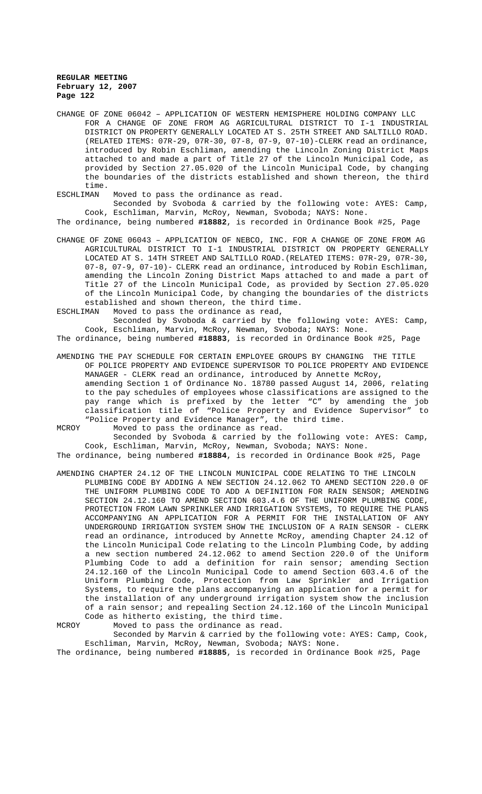- CHANGE OF ZONE 06042 APPLICATION OF WESTERN HEMISPHERE HOLDING COMPANY LLC FOR A CHANGE OF ZONE FROM AG AGRICULTURAL DISTRICT TO I-1 INDUSTRIAL DISTRICT ON PROPERTY GENERALLY LOCATED AT S. 25TH STREET AND SALTILLO ROAD. (RELATED ITEMS: 07R-29, 07R-30, 07-8, 07-9, 07-10)-CLERK read an ordinance, introduced by Robin Eschliman, amending the Lincoln Zoning District Maps attached to and made a part of Title 27 of the Lincoln Municipal Code, as provided by Section 27.05.020 of the Lincoln Municipal Code, by changing the boundaries of the districts established and shown thereon, the third time.
- ESCHLIMAN Moved to pass the ordinance as read.

Seconded by Svoboda & carried by the following vote: AYES: Camp, Cook, Eschliman, Marvin, McRoy, Newman, Svoboda; NAYS: None. The ordinance, being numbered **#18882**, is recorded in Ordinance Book #25, Page

- CHANGE OF ZONE 06043 APPLICATION OF NEBCO, INC. FOR A CHANGE OF ZONE FROM AG AGRICULTURAL DISTRICT TO I-1 INDUSTRIAL DISTRICT ON PROPERTY GENERALLY LOCATED AT S. 14TH STREET AND SALTILLO ROAD.(RELATED ITEMS: 07R-29, 07R-30, 07-8, 07-9, 07-10)- CLERK read an ordinance, introduced by Robin Eschliman, amending the Lincoln Zoning District Maps attached to and made a part of Title 27 of the Lincoln Municipal Code, as provided by Section 27.05.020 of the Lincoln Municipal Code, by changing the boundaries of the districts established and shown thereon, the third time.
- ESCHLIMAN Moved to pass the ordinance as read,

Seconded by Svoboda & carried by the following vote: AYES: Camp, Cook, Eschliman, Marvin, McRoy, Newman, Svoboda; NAYS: None.

The ordinance, being numbered **#18883**, is recorded in Ordinance Book #25, Page

- AMENDING THE PAY SCHEDULE FOR CERTAIN EMPLOYEE GROUPS BY CHANGING THE TITLE OF POLICE PROPERTY AND EVIDENCE SUPERVISOR TO POLICE PROPERTY AND EVIDENCE MANAGER - CLERK read an ordinance, introduced by Annette McRoy, amending Section 1 of Ordinance No. 18780 passed August 14, 2006, relating to the pay schedules of employees whose classifications are assigned to the pay range which is prefixed by the letter "C" by amending the job classification title of "Police Property and Evidence Supervisor" to "Police Property and Evidence Manager", the third time.
- MCROY Moved to pass the ordinance as read. Seconded by Svoboda & carried by the following vote: AYES: Camp,

Cook, Eschliman, Marvin, McRoy, Newman, Svoboda; NAYS: None. The ordinance, being numbered **#18884**, is recorded in Ordinance Book #25, Page

AMENDING CHAPTER 24.12 OF THE LINCOLN MUNICIPAL CODE RELATING TO THE LINCOLN PLUMBING CODE BY ADDING A NEW SECTION 24.12.062 TO AMEND SECTION 220.0 OF THE UNIFORM PLUMBING CODE TO ADD A DEFINITION FOR RAIN SENSOR; AMENDING SECTION 24.12.160 TO AMEND SECTION 603.4.6 OF THE UNIFORM PLUMBING CODE, PROTECTION FROM LAWN SPRINKLER AND IRRIGATION SYSTEMS, TO REQUIRE THE PLANS ACCOMPANYING AN APPLICATION FOR A PERMIT FOR THE INSTALLATION OF ANY UNDERGROUND IRRIGATION SYSTEM SHOW THE INCLUSION OF A RAIN SENSOR - CLERK read an ordinance, introduced by Annette McRoy, amending Chapter 24.12 of the Lincoln Municipal Code relating to the Lincoln Plumbing Code, by adding a new section numbered 24.12.062 to amend Section 220.0 of the Uniform Plumbing Code to add a definition for rain sensor; amending Section 24.12.160 of the Lincoln Municipal Code to amend Section 603.4.6 of the Uniform Plumbing Code, Protection from Law Sprinkler and Irrigation Systems, to require the plans accompanying an application for a permit for the installation of any underground irrigation system show the inclusion of a rain sensor; and repealing Section 24.12.160 of the Lincoln Municipal Code as hitherto existing, the third time.

MCROY Moved to pass the ordinance as read.

Seconded by Marvin & carried by the following vote: AYES: Camp, Cook, Eschliman, Marvin, McRoy, Newman, Svoboda; NAYS: None.

The ordinance, being numbered **#18885**, is recorded in Ordinance Book #25, Page